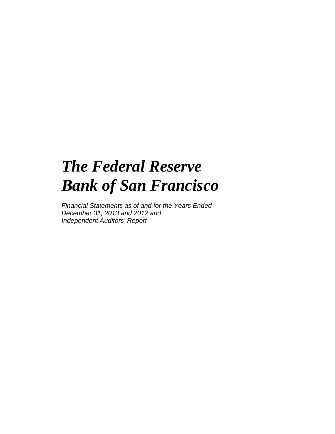# *The Federal Reserve Bank of San Francisco*

*Financial Statements as of and for the Years Ended December 31, 2013 and 2012 and Independent Auditors' Report*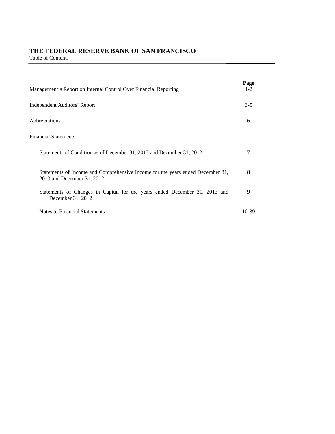# **THE FEDERAL RESERVE BANK OF SAN FRANCISCO**

Table of Contents

| Management's Report on Internal Control Over Financial Reporting                                             | Page<br>$1 - 2$ |
|--------------------------------------------------------------------------------------------------------------|-----------------|
| Independent Auditors' Report                                                                                 | $3 - 5$         |
| Abbreviations                                                                                                | 6               |
| <b>Financial Statements:</b>                                                                                 |                 |
| Statements of Condition as of December 31, 2013 and December 31, 2012                                        | 7               |
| Statements of Income and Comprehensive Income for the years ended December 31,<br>2013 and December 31, 2012 | 8               |
| Statements of Changes in Capital for the years ended December 31, 2013 and<br>December 31, 2012              | 9               |
| Notes to Financial Statements                                                                                | 10-39           |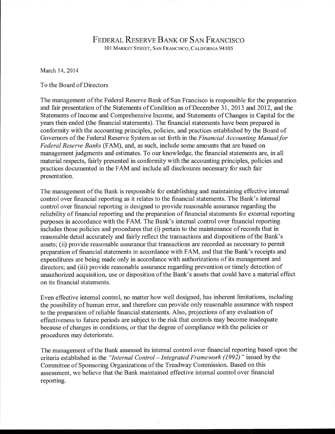# FEDERAL RESERVE BANK OF SAN FRANCISCO 101 MARKET STREET, SAN FRANCISCO, CALIFORNIA 94105

March 14, 2014

# To the Board of Directors

The management of the Federal Reserve Bank of San Francisco is responsible for the preparation and fair presentation of the Statements of Condition as of December 31, 2013 and 2012, and the Statements of Income and Comprehensive Income, and Statements of Changes in Capital for the years then ended (the financial statements). The financial statements have been prepared in conformity with the accounting principles, policies, and practices established by the Board of Governors of the Federal Reserve System as set forth in the Financial Accounting Manual for Federal Reserve Banks (FAM), and, as such, include some amounts that are based on management judgments and estimates. To our knowledge, the financial statements are, in all material respects, fairly presented in conformity with the accounting principles, policies and practices documented in the FAM and include all disclosures necessary for such fair presentation.

The management of the Bank is responsible for establishing and maintaining effective internal control over financial reporting as it relates to the financial statements. The Bank's internal control over financial reporting is designed to provide reasonable assurance regarding the reliability of financial reporting and the preparation of financial statements for external reporting purposes in accordance with the FAM. The Bank's internal control over financial reporting includes those policies and procedures that (i) pertain to the maintenance of records that in reasonable detail accurately and fairly reflect the transactions and dispositions of the Bank's assets; (ii) provide reasonable assurance that transactions are recorded as necessary to permit preparation of financial statements in accordance with FAM, and that the Bank's receipts and expenditures are being made only in accordance with authorizations of its management and directors; and (iii) provide reasonable assurance regarding prevention or timely detection of unauthorized acquisition, use or disposition of the Bank's assets that could have a material effect on its financial statements.

Even effective internal control, no matter how well designed, has inherent limitations, including the possibility of human error, and therefore can provide only reasonable assurance with respect to the preparation of reliable financial statements. Also, projections of any evaluation of effectiveness to future periods are subject to the risk that controls may become inadequate because of changes in conditions, or that the degree of compliance with the policies or procedures may deteriorate.

The management of the Bank assessed its internal control over financial reporting based upon the criteria established in the "Internal Control – Integrated Framework (1992)" issued by the Committee of Sponsoring Organizations of the Treadway Commission. Based on this assessment, we believe that the Bank maintained effective internal control over financial reporting.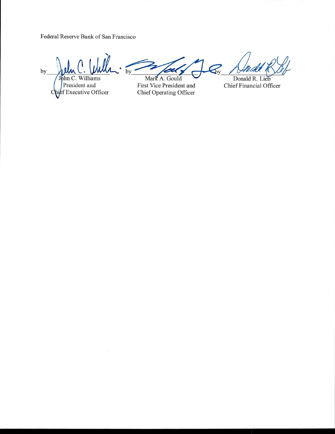Federal Reserve Bank of San Francisco

 $by$ John C. Williams President and<br>high Executive Officer

C

 $\bigotimes$  $by$ Mark A. Gould

First Vice President and Chief Operating Officer

Donald R. Lieb Chief Financial Officer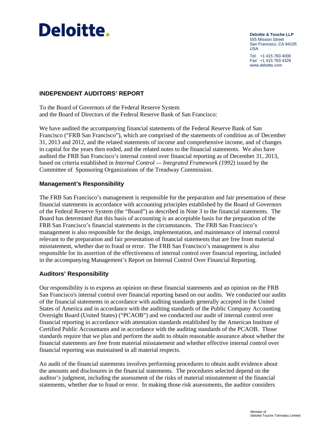# **Deloitte.**

**Deloitte & Touche LLP** 555 Mission Street San Francisco, CA 94105  $IISA$ 

Tel: +1 415 783 4000 Fax: +1 415 783 4329 www.deloitte.com

# **INDEPENDENT AUDITORS' REPORT**

To the Board of Governors of the Federal Reserve System and the Board of Directors of the Federal Reserve Bank of San Francisco:

We have audited the accompanying financial statements of the Federal Reserve Bank of San Francisco ("FRB San Francisco"), which are comprised of the statements of condition as of December 31, 2013 and 2012, and the related statements of income and comprehensive income, and of changes in capital for the years then ended, and the related notes to the financial statements. We also have audited the FRB San Francisco's internal control over financial reporting as of December 31, 2013, based on criteria established in *Internal Control — Integrated Framework (1992)* issued by the Committee of Sponsoring Organizations of the Treadway Commission.

# **Management's Responsibility**

The FRB San Francisco's management is responsible for the preparation and fair presentation of these financial statements in accordance with accounting principles established by the Board of Governors of the Federal Reserve System (the "Board") as described in Note 3 to the financial statements. The Board has determined that this basis of accounting is an acceptable basis for the preparation of the FRB San Francisco's financial statements in the circumstances. The FRB San Francisco's management is also responsible for the design, implementation, and maintenance of internal control relevant to the preparation and fair presentation of financial statements that are free from material misstatement, whether due to fraud or error. The FRB San Francisco's management is also responsible for its assertion of the effectiveness of internal control over financial reporting, included in the accompanying Management's Report on Internal Control Over Financial Reporting.

# **Auditors' Responsibility**

Our responsibility is to express an opinion on these financial statements and an opinion on the FRB San Francisco's internal control over financial reporting based on our audits. We conducted our audits of the financial statements in accordance with auditing standards generally accepted in the United States of America and in accordance with the auditing standards of the Public Company Accounting Oversight Board (United States) ("PCAOB") and we conducted our audit of internal control over financial reporting in accordance with attestation standards established by the American Institute of Certified Public Accountants and in accordance with the auditing standards of the PCAOB. Those standards require that we plan and perform the audit to obtain reasonable assurance about whether the financial statements are free from material misstatement and whether effective internal control over financial reporting was maintained in all material respects.

An audit of the financial statements involves performing procedures to obtain audit evidence about the amounts and disclosures in the financial statements. The procedures selected depend on the auditor's judgment, including the assessment of the risks of material misstatement of the financial statements, whether due to fraud or error. In making those risk assessments, the auditor considers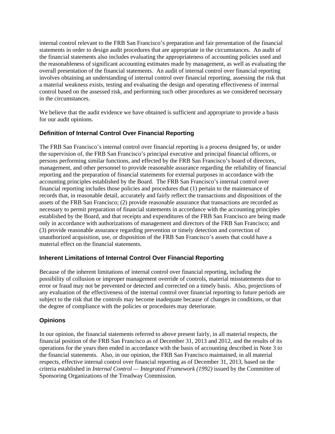internal control relevant to the FRB San Francisco's preparation and fair presentation of the financial statements in order to design audit procedures that are appropriate in the circumstances. An audit of the financial statements also includes evaluating the appropriateness of accounting policies used and the reasonableness of significant accounting estimates made by management, as well as evaluating the overall presentation of the financial statements. An audit of internal control over financial reporting involves obtaining an understanding of internal control over financial reporting, assessing the risk that a material weakness exists, testing and evaluating the design and operating effectiveness of internal control based on the assessed risk, and performing such other procedures as we considered necessary in the circumstances.

We believe that the audit evidence we have obtained is sufficient and appropriate to provide a basis for our audit opinions.

# **Definition of Internal Control Over Financial Reporting**

The FRB San Francisco's internal control over financial reporting is a process designed by, or under the supervision of, the FRB San Francisco's principal executive and principal financial officers, or persons performing similar functions, and effected by the FRB San Francisco's board of directors, management, and other personnel to provide reasonable assurance regarding the reliability of financial reporting and the preparation of financial statements for external purposes in accordance with the accounting principles established by the Board. The FRB San Francisco's internal control over financial reporting includes those policies and procedures that (1) pertain to the maintenance of records that, in reasonable detail, accurately and fairly reflect the transactions and dispositions of the assets of the FRB San Francisco; (2) provide reasonable assurance that transactions are recorded as necessary to permit preparation of financial statements in accordance with the accounting principles established by the Board, and that receipts and expenditures of the FRB San Francisco are being made only in accordance with authorizations of management and directors of the FRB San Francisco; and (3) provide reasonable assurance regarding prevention or timely detection and correction of unauthorized acquisition, use, or disposition of the FRB San Francisco's assets that could have a material effect on the financial statements.

# **Inherent Limitations of Internal Control Over Financial Reporting**

Because of the inherent limitations of internal control over financial reporting, including the possibility of collusion or improper management override of controls, material misstatements due to error or fraud may not be prevented or detected and corrected on a timely basis. Also, projections of any evaluation of the effectiveness of the internal control over financial reporting to future periods are subject to the risk that the controls may become inadequate because of changes in conditions, or that the degree of compliance with the policies or procedures may deteriorate.

# **Opinions**

In our opinion, the financial statements referred to above present fairly, in all material respects, the financial position of the FRB San Francisco as of December 31, 2013 and 2012, and the results of its operations for the years then ended in accordance with the basis of accounting described in Note 3 to the financial statements. Also, in our opinion, the FRB San Francisco maintained, in all material respects, effective internal control over financial reporting as of December 31, 2013, based on the criteria established in *Internal Control — Integrated Framework (1992)* issued by the Committee of Sponsoring Organizations of the Treadway Commission*.*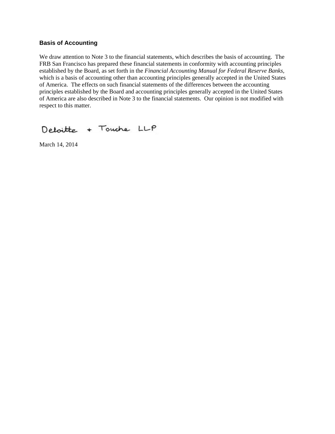# **Basis of Accounting**

We draw attention to Note 3 to the financial statements, which describes the basis of accounting. The FRB San Francisco has prepared these financial statements in conformity with accounting principles established by the Board, as set forth in the *Financial Accounting Manual for Federal Reserve Banks,*  which is a basis of accounting other than accounting principles generally accepted in the United States of America. The effects on such financial statements of the differences between the accounting principles established by the Board and accounting principles generally accepted in the United States of America are also described in Note 3 to the financial statements. Our opinion is not modified with respect to this matter.

Deloitte + Touche LLP

March 14, 2014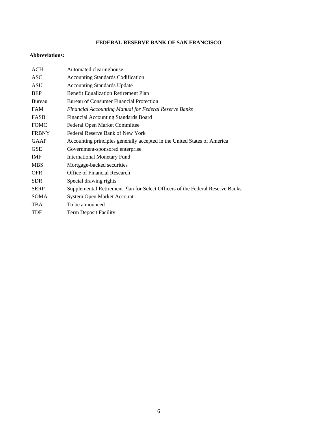# **FEDERAL RESERVE BANK OF SAN FRANCISCO**

# **Abbreviations:**

| ACH          | Automated clearinghouse                                                       |
|--------------|-------------------------------------------------------------------------------|
| <b>ASC</b>   | <b>Accounting Standards Codification</b>                                      |
| ASU          | <b>Accounting Standards Update</b>                                            |
| <b>BEP</b>   | <b>Benefit Equalization Retirement Plan</b>                                   |
| Bureau       | Bureau of Consumer Financial Protection                                       |
| <b>FAM</b>   | <b>Financial Accounting Manual for Federal Reserve Banks</b>                  |
| <b>FASB</b>  | Financial Accounting Standards Board                                          |
| <b>FOMC</b>  | Federal Open Market Committee                                                 |
| <b>FRBNY</b> | Federal Reserve Bank of New York                                              |
| <b>GAAP</b>  | Accounting principles generally accepted in the United States of America      |
| <b>GSE</b>   | Government-sponsored enterprise                                               |
| IMF          | <b>International Monetary Fund</b>                                            |
| <b>MBS</b>   | Mortgage-backed securities                                                    |
| <b>OFR</b>   | Office of Financial Research                                                  |
| <b>SDR</b>   | Special drawing rights                                                        |
| <b>SERP</b>  | Supplemental Retirement Plan for Select Officers of the Federal Reserve Banks |
| <b>SOMA</b>  | System Open Market Account                                                    |
| <b>TBA</b>   | To be announced                                                               |
| <b>TDF</b>   | <b>Term Deposit Facility</b>                                                  |
|              |                                                                               |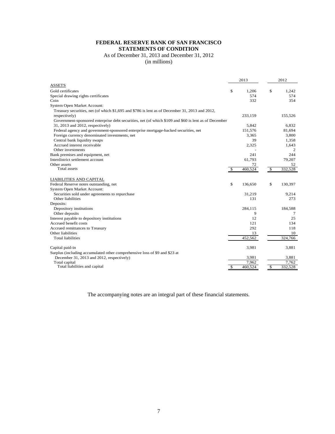# **FEDERAL RESERVE BANK OF SAN FRANCISCO STATEMENTS OF CONDITION**

# As of December 31, 2013 and December 31, 2012

(in millions)

|                                                                                                      |               | 2013    | 2012           |
|------------------------------------------------------------------------------------------------------|---------------|---------|----------------|
| <b>ASSETS</b>                                                                                        |               |         |                |
| Gold certificates                                                                                    | \$            | 1,206   | \$<br>1,242    |
| Special drawing rights certificates                                                                  |               | 574     | 574            |
| Coin                                                                                                 |               | 332     | 354            |
| System Open Market Account:                                                                          |               |         |                |
| Treasury securities, net (of which \$1,695 and \$786 is lent as of December 31, 2013 and 2012,       |               |         |                |
| respectively)                                                                                        |               | 233,159 | 155,526        |
| Government-sponsored enterprise debt securities, net (of which \$109 and \$60 is lent as of December |               |         |                |
| 31, 2013 and 2012, respectively)                                                                     |               | 5,842   | 6.832          |
| Federal agency and government-sponsored enterprise mortgage-backed securities, net                   |               | 151,576 | 81,694         |
| Foreign currency denominated investments, net                                                        |               | 3.365   | 3,800          |
| Central bank liquidity swaps                                                                         |               | 39      | 1.358          |
| Accrued interest receivable                                                                          |               | 2,325   | 1,643          |
| Other investments                                                                                    |               |         | $\overline{c}$ |
| Bank premises and equipment, net                                                                     |               | 241     | 244            |
| Interdistrict settlement account                                                                     |               | 61,793  | 79,207         |
| Other assets                                                                                         |               | 72      | 52             |
| Total assets                                                                                         | $\mathcal{S}$ | 460,524 | \$<br>332,528  |
| LIABILITIES AND CAPITAL                                                                              |               |         |                |
| Federal Reserve notes outstanding, net                                                               | \$            | 136,650 | \$<br>130,397  |
| System Open Market Account:                                                                          |               |         |                |
| Securities sold under agreements to repurchase                                                       |               | 31,219  | 9,214          |
| Other liabilities                                                                                    |               | 131     | 273            |
| Deposits:                                                                                            |               |         |                |
| Depository institutions                                                                              |               | 284,115 | 184,588        |
| Other deposits                                                                                       |               | 9       | 7              |
| Interest payable to depository institutions                                                          |               | 12      | 25             |
| Accrued benefit costs                                                                                |               | 121     | 134            |
| Accrued remittances to Treasury                                                                      |               | 292     | 118            |
| Other liabilities                                                                                    |               | 13      | 10             |
| <b>Total liabilities</b>                                                                             |               | 452,562 | 324,766        |
| Capital paid-in                                                                                      |               | 3,981   | 3,881          |
| Surplus (including accumulated other comprehensive loss of \$9 and \$23 at                           |               |         |                |
| December 31, 2013 and 2012, respectively)                                                            |               | 3,981   | 3,881          |
| Total capital                                                                                        |               | 7,962   | 7.762          |
| Total liabilities and capital                                                                        | \$            | 460,524 | \$<br>332,528  |

The accompanying notes are an integral part of these financial statements.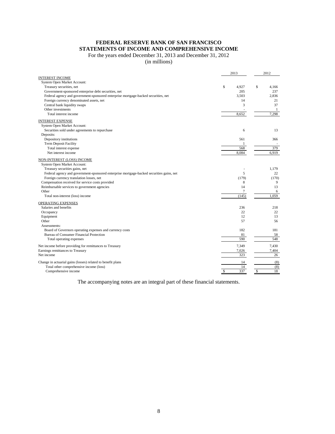# **FEDERAL RESERVE BANK OF SAN FRANCISCO STATEMENTS OF INCOME AND COMPREHENSIVE INCOME**

For the years ended December 31, 2013 and December 31, 2012

(in millions)

|                                                                                          | 2013        | 2012         |
|------------------------------------------------------------------------------------------|-------------|--------------|
| <b>INTEREST INCOME</b>                                                                   |             |              |
| System Open Market Account:                                                              |             |              |
| Treasury securities, net                                                                 | \$<br>4.927 | \$<br>4.166  |
| Government-sponsored enterprise debt securities, net                                     | 205         | 237          |
| Federal agency and government-sponsored enterprise mortgage-backed securities, net       | 3.503       | 2.836        |
| Foreign currency denominated assets, net                                                 | 14          | 21           |
| Central bank liquidity swaps                                                             | 3           | 37           |
| Other investments                                                                        |             | $\mathbf{1}$ |
| Total interest income                                                                    | 8,652       | 7,298        |
| <b>INTEREST EXPENSE</b>                                                                  |             |              |
| System Open Market Account:                                                              |             |              |
| Securities sold under agreements to repurchase                                           | 6           | 13           |
| Deposits:                                                                                |             |              |
| Depository institutions                                                                  | 561         | 366          |
| Term Deposit Facility                                                                    | 1           |              |
| Total interest expense                                                                   | 568         | 379          |
| Net interest income                                                                      | 8,084       | 6,919        |
|                                                                                          |             |              |
| NON-INTEREST (LOSS) INCOME<br>System Open Market Account:                                |             |              |
|                                                                                          |             |              |
| Treasury securities gains, net                                                           | 5           | 1,179        |
| Federal agency and government-sponsored enterprise mortgage-backed securities gains, net |             | 22           |
| Foreign currency translation losses, net                                                 | (179)       | (170)        |
| Compensation received for service costs provided                                         | 8           | 9            |
| Reimbursable services to government agencies                                             | 14          | 13           |
| Other                                                                                    | 7           | 6            |
| Total non-interest (loss) income                                                         | (145)       | 1.059        |
| OPERATING EXPENSES                                                                       |             |              |
| Salaries and benefits                                                                    | 236         | 218          |
| Occupancy                                                                                | 22          | 22           |
| Equipment                                                                                | 12          | 13           |
| Other                                                                                    | 57          | 56           |
| Assessments:                                                                             |             |              |
| Board of Governors operating expenses and currency costs                                 | 182         | 181          |
| Bureau of Consumer Financial Protection                                                  | 81          | 58           |
| Total operating expenses                                                                 | 590         | 548          |
| Net income before providing for remittances to Treasury                                  | 7,349       | 7,430        |
| Earnings remittances to Treasury                                                         | 7,026       | 7,404        |
| Net income                                                                               | 323         | 26           |
| Change in actuarial gains (losses) related to benefit plans                              | 14          | (8)          |
| Total other comprehensive income (loss)                                                  | 14          | (8)          |
| Comprehensive income                                                                     | \$<br>337   | \$<br>18     |
|                                                                                          |             |              |

The accompanying notes are an integral part of these financial statements.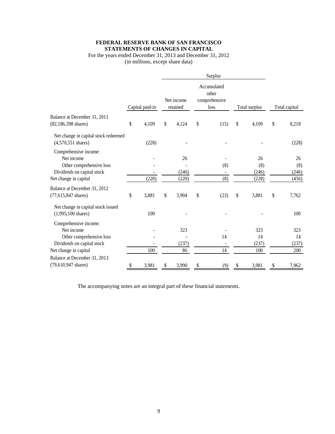# **FEDERAL RESERVE BANK OF SAN FRANCISCO STATEMENTS OF CHANGES IN CAPITAL**

# For the years ended December 31, 2013 and December 31, 2012 (in millions, except share data)

|                                                                      |                 |    |                        |    | Surplus                                       |    |               |               |
|----------------------------------------------------------------------|-----------------|----|------------------------|----|-----------------------------------------------|----|---------------|---------------|
|                                                                      | Capital paid-in |    | Net income<br>retained |    | Accumulated<br>other<br>comprehensive<br>loss |    | Total surplus | Total capital |
| Balance at December 31, 2011                                         |                 |    |                        |    |                                               |    |               |               |
| $(82, 186, 398 \text{ shares})$                                      | \$<br>4,109     | \$ | 4,124                  | \$ | (15)                                          | \$ | 4,109         | \$<br>8,218   |
| Net change in capital stock redeemed<br>$(4,570,551 \text{ shares})$ | (228)           |    |                        |    |                                               |    |               | (228)         |
| Comprehensive income:                                                |                 |    |                        |    |                                               |    |               |               |
| Net income                                                           |                 |    | 26                     |    |                                               |    | 26            | 26            |
| Other comprehensive loss                                             |                 |    |                        |    | (8)                                           |    | (8)           | (8)           |
| Dividends on capital stock                                           |                 |    | (246)                  |    |                                               |    | (246)         | (246)         |
| Net change in capital                                                | (228)           |    | (220)                  |    | (8)                                           |    | (228)         | (456)         |
| Balance at December 31, 2012                                         |                 |    |                        |    |                                               |    |               |               |
| $(77, 615, 847$ shares)                                              | \$<br>3,881     | \$ | 3,904                  | \$ | (23)                                          | \$ | 3,881         | \$<br>7,762   |
| Net change in capital stock issued                                   |                 |    |                        |    |                                               |    |               |               |
| $(1,995,100 \text{ shares})$                                         | 100             |    |                        |    |                                               |    |               | 100           |
| Comprehensive income:                                                |                 |    |                        |    |                                               |    |               |               |
| Net income                                                           |                 |    | 323                    |    |                                               |    | 323           | 323           |
| Other comprehensive loss                                             |                 |    |                        |    | 14                                            |    | 14            | 14            |
| Dividends on capital stock                                           |                 |    | (237)                  |    |                                               |    | (237)         | (237)         |
| Net change in capital                                                | 100             |    | 86                     |    | 14                                            |    | 100           | 200           |
| Balance at December 31, 2013                                         |                 |    |                        |    |                                               |    |               |               |
| (79,610,947 shares)                                                  | \$<br>3,981     | \$ | 3,990                  | \$ | (9)                                           | \$ | 3,981         | \$<br>7,962   |

The accompanying notes are an integral part of these financial statements.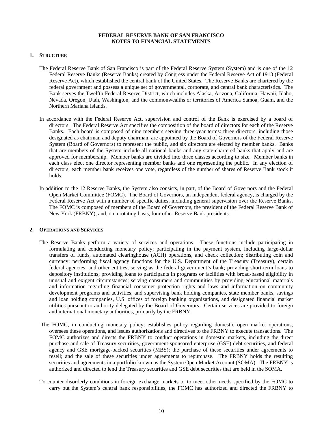## **1. STRUCTURE**

- The Federal Reserve Bank of San Francisco is part of the Federal Reserve System (System) and is one of the 12 Federal Reserve Banks (Reserve Banks) created by Congress under the Federal Reserve Act of 1913 (Federal Reserve Act), which established the central bank of the United States. The Reserve Banks are chartered by the federal government and possess a unique set of governmental, corporate, and central bank characteristics. The Bank serves the Twelfth Federal Reserve District, which includes Alaska, Arizona, California, Hawaii, Idaho, Nevada, Oregon, Utah, Washington, and the commonwealths or territories of America Samoa, Guam, and the Northern Mariana Islands.
- In accordance with the Federal Reserve Act, supervision and control of the Bank is exercised by a board of directors. The Federal Reserve Act specifies the composition of the board of directors for each of the Reserve Banks. Each board is composed of nine members serving three-year terms: three directors, including those designated as chairman and deputy chairman, are appointed by the Board of Governors of the Federal Reserve System (Board of Governors) to represent the public, and six directors are elected by member banks. Banks that are members of the System include all national banks and any state-chartered banks that apply and are approved for membership. Member banks are divided into three classes according to size. Member banks in each class elect one director representing member banks and one representing the public. In any election of directors, each member bank receives one vote, regardless of the number of shares of Reserve Bank stock it holds.
- In addition to the 12 Reserve Banks, the System also consists, in part, of the Board of Governors and the Federal Open Market Committee (FOMC). The Board of Governors, an independent federal agency, is charged by the Federal Reserve Act with a number of specific duties, including general supervision over the Reserve Banks. The FOMC is composed of members of the Board of Governors, the president of the Federal Reserve Bank of New York (FRBNY), and, on a rotating basis, four other Reserve Bank presidents.

#### **2. OPERATIONS AND SERVICES**

- The Reserve Banks perform a variety of services and operations. These functions include participating in formulating and conducting monetary policy; participating in the payment system, including large-dollar transfers of funds, automated clearinghouse (ACH) operations, and check collection; distributing coin and currency; performing fiscal agency functions for the U.S. Department of the Treasury (Treasury), certain federal agencies, and other entities; serving as the federal government's bank; providing short-term loans to depository institutions; providing loans to participants in programs or facilities with broad-based eligibility in unusual and exigent circumstances; serving consumers and communities by providing educational materials and information regarding financial consumer protection rights and laws and information on community development programs and activities; and supervising bank holding companies, state member banks, savings and loan holding companies, U.S. offices of foreign banking organizations, and designated financial market utilities pursuant to authority delegated by the Board of Governors. Certain services are provided to foreign and international monetary authorities, primarily by the FRBNY.
- The FOMC, in conducting monetary policy, establishes policy regarding domestic open market operations, oversees these operations, and issues authorizations and directives to the FRBNY to execute transactions. The FOMC authorizes and directs the FRBNY to conduct operations in domestic markets, including the direct purchase and sale of Treasury securities, government-sponsored enterprise (GSE) debt securities, and federal agency and GSE mortgage-backed securities (MBS); the purchase of these securities under agreements to resell; and the sale of these securities under agreements to repurchase. The FRBNY holds the resulting securities and agreements in a portfolio known as the System Open Market Account (SOMA). The FRBNY is authorized and directed to lend the Treasury securities and GSE debt securities that are held in the SOMA.
- To counter disorderly conditions in foreign exchange markets or to meet other needs specified by the FOMC to carry out the System's central bank responsibilities, the FOMC has authorized and directed the FRBNY to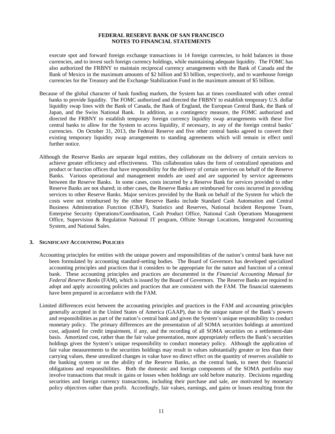execute spot and forward foreign exchange transactions in 14 foreign currencies, to hold balances in those currencies, and to invest such foreign currency holdings, while maintaining adequate liquidity. The FOMC has also authorized the FRBNY to maintain reciprocal currency arrangements with the Bank of Canada and the Bank of Mexico in the maximum amounts of \$2 billion and \$3 billion, respectively, and to warehouse foreign currencies for the Treasury and the Exchange Stabilization Fund in the maximum amount of \$5 billion.

- Because of the global character of bank funding markets, the System has at times coordinated with other central banks to provide liquidity. The FOMC authorized and directed the FRBNY to establish temporary U.S. dollar liquidity swap lines with the Bank of Canada, the Bank of England, the European Central Bank, the Bank of Japan, and the Swiss National Bank. In addition, as a contingency measure, the FOMC authorized and directed the FRBNY to establish temporary foreign currency liquidity swap arrangements with these five central banks to allow for the System to access liquidity, if necessary, in any of the foreign central banks' currencies. On October 31, 2013, the Federal Reserve and five other central banks agreed to convert their existing temporary liquidity swap arrangements to standing agreements which will remain in effect until further notice.
- Although the Reserve Banks are separate legal entities, they collaborate on the delivery of certain services to achieve greater efficiency and effectiveness. This collaboration takes the form of centralized operations and product or function offices that have responsibility for the delivery of certain services on behalf of the Reserve Banks. Various operational and management models are used and are supported by service agreements between the Reserve Banks. In some cases, costs incurred by a Reserve Bank for services provided to other Reserve Banks are not shared; in other cases, the Reserve Banks are reimbursed for costs incurred in providing services to other Reserve Banks. Major services provided by the Bank on behalf of the System for which the costs were not reimbursed by the other Reserve Banks include Standard Cash Automation and Central Business Adminstration Function (CBAF), Statistics and Reserves, National Incident Response Team, Enterprise Security Operations/Coordination, Cash Product Office, National Cash Operations Management Office, Supervision & Regulation National IT program, Offsite Storage Locations, Integrated Accounting System, and National Sales.

#### **3. SIGNIFICANT ACCOUNTING POLICIES**

- Accounting principles for entities with the unique powers and responsibilities of the nation's central bank have not been formulated by accounting standard-setting bodies. The Board of Governors has developed specialized accounting principles and practices that it considers to be appropriate for the nature and function of a central bank. These accounting principles and practices are documented in the *Financial Accounting Manual for Federal Reserve Banks* (FAM), which is issued by the Board of Governors. The Reserve Banks are required to adopt and apply accounting policies and practices that are consistent with the FAM. The financial statements have been prepared in accordance with the FAM.
- Limited differences exist between the accounting principles and practices in the FAM and accounting principles generally accepted in the United States of America (GAAP), due to the unique nature of the Bank's powers and responsibilities as part of the nation's central bank and given the System's unique responsibility to conduct monetary policy. The primary differences are the presentation of all SOMA securities holdings at amortized cost, adjusted for credit impairment, if any, and the recording of all SOMA securities on a settlement-date basis. Amortized cost, rather than the fair value presentation, more appropriately reflects the Bank's securities holdings given the System's unique responsibility to conduct monetary policy. Although the application of fair value measurements to the securities holdings may result in values substantially greater or less than their carrying values, these unrealized changes in value have no direct effect on the quantity of reserves available to the banking system or on the ability of the Reserve Banks, as the central bank, to meet their financial obligations and responsibilities. Both the domestic and foreign components of the SOMA portfolio may involve transactions that result in gains or losses when holdings are sold before maturity. Decisions regarding securities and foreign currency transactions, including their purchase and sale, are motivated by monetary policy objectives rather than profit. Accordingly, fair values, earnings, and gains or losses resulting from the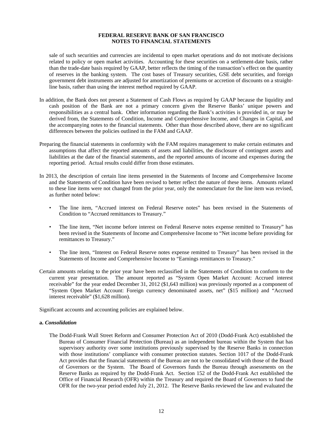sale of such securities and currencies are incidental to open market operations and do not motivate decisions related to policy or open market activities. Accounting for these securities on a settlement-date basis, rather than the trade-date basis required by GAAP, better reflects the timing of the transaction's effect on the quantity of reserves in the banking system. The cost bases of Treasury securities, GSE debt securities, and foreign government debt instruments are adjusted for amortization of premiums or accretion of discounts on a straightline basis, rather than using the interest method required by GAAP.

- In addition, the Bank does not present a Statement of Cash Flows as required by GAAP because the liquidity and cash position of the Bank are not a primary concern given the Reserve Banks' unique powers and responsibilities as a central bank. Other information regarding the Bank's activities is provided in, or may be derived from, the Statements of Condition, Income and Comprehensive Income, and Changes in Capital, and the accompanying notes to the financial statements. Other than those described above, there are no significant differences between the policies outlined in the FAM and GAAP.
- Preparing the financial statements in conformity with the FAM requires management to make certain estimates and assumptions that affect the reported amounts of assets and liabilities, the disclosure of contingent assets and liabilities at the date of the financial statements, and the reported amounts of income and expenses during the reporting period. Actual results could differ from those estimates.
- In 2013, the description of certain line items presented in the Statements of Income and Comprehensive Income and the Statements of Condition have been revised to better reflect the nature of these items. Amounts related to these line items were not changed from the prior year, only the nomenclature for the line item was revised, as further noted below:
	- The line item, "Accrued interest on Federal Reserve notes" has been revised in the Statements of Condition to "Accrued remittances to Treasury."
	- The line item, "Net income before interest on Federal Reserve notes expense remitted to Treasury" has been revised in the Statements of Income and Comprehensive Income to "Net income before providing for remittances to Treasury."
	- The line item, "Interest on Federal Reserve notes expense remitted to Treasury" has been revised in the Statements of Income and Comprehensive Income to "Earnings remittances to Treasury."
- Certain amounts relating to the prior year have been reclassified in the Statements of Condition to conform to the current year presentation. The amount reported as "System Open Market Account: Accrued interest receivable" for the year ended December 31, 2012 (\$1,643 million) was previously reported as a component of "System Open Market Account: Foreign currency denominated assets, net" (\$15 million) and "Accrued interest receivable" (\$1,628 million).

Significant accounts and accounting policies are explained below.

#### **a.** *Consolidation*

The Dodd-Frank Wall Street Reform and Consumer Protection Act of 2010 (Dodd-Frank Act) established the Bureau of Consumer Financial Protection (Bureau) as an independent bureau within the System that has supervisory authority over some institutions previously supervised by the Reserve Banks in connection with those institutions' compliance with consumer protection statutes. Section 1017 of the Dodd-Frank Act provides that the financial statements of the Bureau are not to be consolidated with those of the Board of Governors or the System. The Board of Governors funds the Bureau through assessments on the Reserve Banks as required by the Dodd-Frank Act. Section 152 of the Dodd-Frank Act established the Office of Financial Research (OFR) within the Treasury and required the Board of Governors to fund the OFR for the two-year period ended July 21, 2012. The Reserve Banks reviewed the law and evaluated the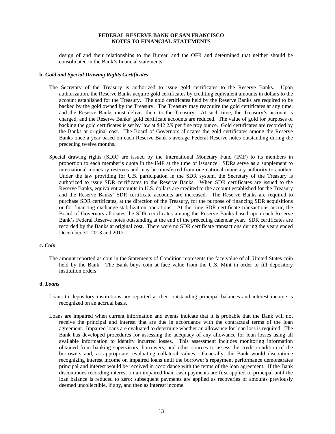design of and their relationships to the Bureau and the OFR and determined that neither should be consolidated in the Bank's financial statements.

#### **b.** *Gold and Special Drawing Rights Certificates*

- The Secretary of the Treasury is authorized to issue gold certificates to the Reserve Banks. Upon authorization, the Reserve Banks acquire gold certificates by crediting equivalent amounts in dollars to the account established for the Treasury. The gold certificates held by the Reserve Banks are required to be backed by the gold owned by the Treasury. The Treasury may reacquire the gold certificates at any time, and the Reserve Banks must deliver them to the Treasury. At such time, the Treasury's account is charged, and the Reserve Banks' gold certificate accounts are reduced. The value of gold for purposes of backing the gold certificates is set by law at \$42 2/9 per fine troy ounce. Gold certificates are recorded by the Banks at original cost. The Board of Governors allocates the gold certificates among the Reserve Banks once a year based on each Reserve Bank's average Federal Reserve notes outstanding during the preceding twelve months.
- Special drawing rights (SDR) are issued by the International Monetary Fund (IMF) to its members in proportion to each member's quota in the IMF at the time of issuance. SDRs serve as a supplement to international monetary reserves and may be transferred from one national monetary authority to another. Under the law providing for U.S. participation in the SDR system, the Secretary of the Treasury is authorized to issue SDR certificates to the Reserve Banks. When SDR certificates are issued to the Reserve Banks, equivalent amounts in U.S. dollars are credited to the account established for the Treasury and the Reserve Banks' SDR certificate accounts are increased. The Reserve Banks are required to purchase SDR certificates, at the direction of the Treasury, for the purpose of financing SDR acquisitions or for financing exchange-stabilization operations. At the time SDR certificate transactions occur, the Board of Governors allocates the SDR certificates among the Reserve Banks based upon each Reserve Bank's Federal Reserve notes outstanding at the end of the preceding calendar year. SDR certificates are recorded by the Banks at original cost. There were no SDR certificate transactions during the years ended December 31, 2013 and 2012*.*

#### **c.** *Coin*

The amount reported as coin in the Statements of Condition represents the face value of all United States coin held by the Bank. The Bank buys coin at face value from the U.S. Mint in order to fill depository institution orders.

# **d.** *Loans*

- Loans to depository institutions are reported at their outstanding principal balances and interest income is recognized on an accrual basis.
- Loans are impaired when current information and events indicate that it is probable that the Bank will not receive the principal and interest that are due in accordance with the contractual terms of the loan agreement. Impaired loans are evaluated to determine whether an allowance for loan loss is required. The Bank has developed procedures for assessing the adequacy of any allowance for loan losses using all available information to identify incurred losses. This assessment includes monitoring information obtained from banking supervisors, borrowers, and other sources to assess the credit condition of the borrowers and, as appropriate, evaluating collateral values. Generally, the Bank would discontinue recognizing interest income on impaired loans until the borrower's repayment performance demonstrates principal and interest would be received in accordance with the terms of the loan agreement. If the Bank discontinues recording interest on an impaired loan, cash payments are first applied to principal until the loan balance is reduced to zero; subsequent payments are applied as recoveries of amounts previously deemed uncollectible, if any, and then as interest income.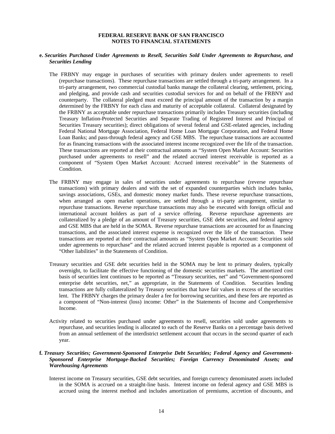# **e.** *Securities Purchased Under Agreements to Resell, Securities Sold Under Agreements to Repurchase, and Securities Lending*

- The FRBNY may engage in purchases of securities with primary dealers under agreements to resell (repurchase transactions). These repurchase transactions are settled through a tri-party arrangement. In a tri-party arrangement, two commercial custodial banks manage the collateral clearing, settlement, pricing, and pledging, and provide cash and securities custodial services for and on behalf of the FRBNY and counterparty. The collateral pledged must exceed the principal amount of the transaction by a margin determined by the FRBNY for each class and maturity of acceptable collateral. Collateral designated by the FRBNY as acceptable under repurchase transactions primarily includes Treasury securities (including Treasury Inflation-Protected Securities and Separate Trading of Registered Interest and Principal of Securities Treasury securities); direct obligations of several federal and GSE-related agencies, including Federal National Mortgage Association, Federal Home Loan Mortgage Corporation, and Federal Home Loan Banks; and pass-through federal agency and GSE MBS. The repurchase transactions are accounted for as financing transactions with the associated interest income recognized over the life of the transaction. These transactions are reported at their contractual amounts as "System Open Market Account: Securities purchased under agreements to resell" and the related accrued interest receivable is reported as a component of "System Open Market Account: Accrued interest receivable" in the Statements of Condition.
- The FRBNY may engage in sales of securities under agreements to repurchase (reverse repurchase transactions) with primary dealers and with the set of expanded counterparties which includes banks, savings associations, GSEs, and domestic money market funds. These reverse repurchase transactions, when arranged as open market operations, are settled through a tri-party arrangement, similar to repurchase transactions. Reverse repurchase transactions may also be executed with foreign official and international account holders as part of a service offering. Reverse repurchase agreements are collateralized by a pledge of an amount of Treasury securities, GSE debt securities, and federal agency and GSE MBS that are held in the SOMA. Reverse repurchase transactions are accounted for as financing transactions, and the associated interest expense is recognized over the life of the transaction. These transactions are reported at their contractual amounts as "System Open Market Account: Securities sold under agreements to repurchase" and the related accrued interest payable is reported as a component of "Other liabilities" in the Statements of Condition.
- Treasury securities and GSE debt securities held in the SOMA may be lent to primary dealers, typically overnight, to facilitate the effective functioning of the domestic securities markets. The amortized cost basis of securities lent continues to be reported as "Treasury securities, net" and "Government-sponsored enterprise debt securities, net," as appropriate, in the Statements of Condition. Securities lending transactions are fully collateralized by Treasury securities that have fair values in excess of the securities lent. The FRBNY charges the primary dealer a fee for borrowing securities, and these fees are reported as a component of "Non-interest (loss) income: Other" in the Statements of Income and Comprehensive Income.
- Activity related to securities purchased under agreements to resell, securities sold under agreements to repurchase, and securities lending is allocated to each of the Reserve Banks on a percentage basis derived from an annual settlement of the interdistrict settlement account that occurs in the second quarter of each year.

# **f.** *Treasury Securities; Government-Sponsored Enterprise Debt Securities; Federal Agency and Government-Sponsored Enterprise Mortgage-Backed Securities; Foreign Currency Denominated Assets; and Warehousing Agreements*

Interest income on Treasury securities, GSE debt securities, and foreign currency denominated assets included in the SOMA is accrued on a straight-line basis. Interest income on federal agency and GSE MBS is accrued using the interest method and includes amortization of premiums, accretion of discounts, and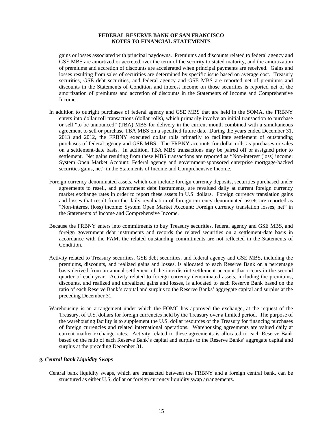gains or losses associated with principal paydowns. Premiums and discounts related to federal agency and GSE MBS are amortized or accreted over the term of the security to stated maturity, and the amortization of premiums and accretion of discounts are accelerated when principal payments are received. Gains and losses resulting from sales of securities are determined by specific issue based on average cost. Treasury securities, GSE debt securities, and federal agency and GSE MBS are reported net of premiums and discounts in the Statements of Condition and interest income on those securities is reported net of the amortization of premiums and accretion of discounts in the Statements of Income and Comprehensive Income.

- In addition to outright purchases of federal agency and GSE MBS that are held in the SOMA, the FRBNY enters into dollar roll transactions (dollar rolls), which primarily involve an initial transaction to purchase or sell "to be announced" (TBA) MBS for delivery in the current month combined with a simultaneous agreement to sell or purchase TBA MBS on a specified future date. During the years ended December 31, 2013 and 2012, the FRBNY executed dollar rolls primarily to facilitate settlement of outstanding purchases of federal agency and GSE MBS. The FRBNY accounts for dollar rolls as purchases or sales on a settlement-date basis. In addition, TBA MBS transactions may be paired off or assigned prior to settlement. Net gains resulting from these MBS transactions are reported as "Non-interest (loss) income: System Open Market Account: Federal agency and government-sponsored enterprise mortgage-backed securities gains, net" in the Statements of Income and Comprehensive Income.
- Foreign currency denominated assets, which can include foreign currency deposits, securities purchased under agreements to resell, and government debt instruments, are revalued daily at current foreign currency market exchange rates in order to report these assets in U.S. dollars. Foreign currency translation gains and losses that result from the daily revaluation of foreign currency denominated assets are reported as "Non-interest (loss) income: System Open Market Account: Foreign currency translation losses, net" in the Statements of Income and Comprehensive Income.
- Because the FRBNY enters into commitments to buy Treasury securities, federal agency and GSE MBS, and foreign government debt instruments and records the related securities on a settlement-date basis in accordance with the FAM, the related outstanding commitments are not reflected in the Statements of Condition.
- Activity related to Treasury securities, GSE debt securities, and federal agency and GSE MBS, including the premiums, discounts, and realized gains and losses, is allocated to each Reserve Bank on a percentage basis derived from an annual settlement of the interdistrict settlement account that occurs in the second quarter of each year. Activity related to foreign currency denominated assets, including the premiums, discounts, and realized and unrealized gains and losses, is allocated to each Reserve Bank based on the ratio of each Reserve Bank's capital and surplus to the Reserve Banks' aggregate capital and surplus at the preceding December 31.
- Warehousing is an arrangement under which the FOMC has approved the exchange, at the request of the Treasury, of U.S. dollars for foreign currencies held by the Treasury over a limited period. The purpose of the warehousing facility is to supplement the U.S. dollar resources of the Treasury for financing purchases of foreign currencies and related international operations. Warehousing agreements are valued daily at current market exchange rates. Activity related to these agreements is allocated to each Reserve Bank based on the ratio of each Reserve Bank's capital and surplus to the Reserve Banks' aggregate capital and surplus at the preceding December 31.

#### **g.** *Central Bank Liquidity Swaps*

Central bank liquidity swaps, which are transacted between the FRBNY and a foreign central bank, can be structured as either U.S. dollar or foreign currency liquidity swap arrangements.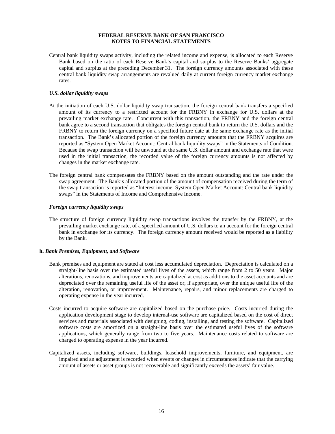Central bank liquidity swaps activity, including the related income and expense, is allocated to each Reserve Bank based on the ratio of each Reserve Bank's capital and surplus to the Reserve Banks' aggregate capital and surplus at the preceding December 31. The foreign currency amounts associated with these central bank liquidity swap arrangements are revalued daily at current foreign currency market exchange rates.

## *U.S. dollar liquidity swaps*

- At the initiation of each U.S. dollar liquidity swap transaction, the foreign central bank transfers a specified amount of its currency to a restricted account for the FRBNY in exchange for U.S. dollars at the prevailing market exchange rate. Concurrent with this transaction, the FRBNY and the foreign central bank agree to a second transaction that obligates the foreign central bank to return the U.S. dollars and the FRBNY to return the foreign currency on a specified future date at the same exchange rate as the initial transaction. The Bank's allocated portion of the foreign currency amounts that the FRBNY acquires are reported as "System Open Market Account: Central bank liquidity swaps" in the Statements of Condition. Because the swap transaction will be unwound at the same U.S. dollar amount and exchange rate that were used in the initial transaction, the recorded value of the foreign currency amounts is not affected by changes in the market exchange rate.
- The foreign central bank compensates the FRBNY based on the amount outstanding and the rate under the swap agreement. The Bank's allocated portion of the amount of compensation received during the term of the swap transaction is reported as "Interest income: System Open Market Account: Central bank liquidity swaps" in the Statements of Income and Comprehensive Income.

#### *Foreign currency liquidity swaps*

The structure of foreign currency liquidity swap transactions involves the transfer by the FRBNY, at the prevailing market exchange rate, of a specified amount of U.S. dollars to an account for the foreign central bank in exchange for its currency. The foreign currency amount received would be reported as a liability by the Bank.

#### **h.** *Bank Premises, Equipment, and Software*

- Bank premises and equipment are stated at cost less accumulated depreciation. Depreciation is calculated on a straight-line basis over the estimated useful lives of the assets, which range from 2 to 50 years. Major alterations, renovations, and improvements are capitalized at cost as additions to the asset accounts and are depreciated over the remaining useful life of the asset or, if appropriate, over the unique useful life of the alteration, renovation, or improvement. Maintenance, repairs, and minor replacements are charged to operating expense in the year incurred.
- Costs incurred to acquire software are capitalized based on the purchase price. Costs incurred during the application development stage to develop internal-use software are capitalized based on the cost of direct services and materials associated with designing, coding, installing, and testing the software. Capitalized software costs are amortized on a straight-line basis over the estimated useful lives of the software applications, which generally range from two to five years. Maintenance costs related to software are charged to operating expense in the year incurred.
- Capitalized assets, including software, buildings, leasehold improvements, furniture, and equipment, are impaired and an adjustment is recorded when events or changes in circumstances indicate that the carrying amount of assets or asset groups is not recoverable and significantly exceeds the assets' fair value.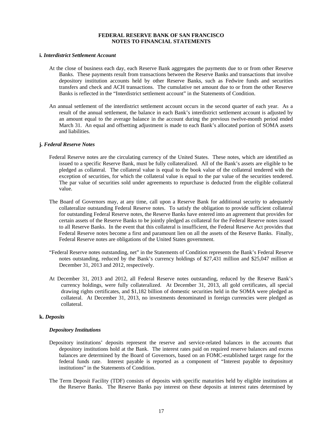#### **i.** *Interdistrict Settlement Account*

- At the close of business each day, each Reserve Bank aggregates the payments due to or from other Reserve Banks. These payments result from transactions between the Reserve Banks and transactions that involve depository institution accounts held by other Reserve Banks, such as Fedwire funds and securities transfers and check and ACH transactions. The cumulative net amount due to or from the other Reserve Banks is reflected in the "Interdistrict settlement account" in the Statements of Condition.
- An annual settlement of the interdistrict settlement account occurs in the second quarter of each year. As a result of the annual settlement, the balance in each Bank's interdistrict settlement account is adjusted by an amount equal to the average balance in the account during the previous twelve-month period ended March 31. An equal and offsetting adjustment is made to each Bank's allocated portion of SOMA assets and liabilities.

#### **j.** *Federal Reserve Notes*

- Federal Reserve notes are the circulating currency of the United States. These notes, which are identified as issued to a specific Reserve Bank, must be fully collateralized. All of the Bank's assets are eligible to be pledged as collateral. The collateral value is equal to the book value of the collateral tendered with the exception of securities, for which the collateral value is equal to the par value of the securities tendered. The par value of securities sold under agreements to repurchase is deducted from the eligible collateral value.
- The Board of Governors may, at any time, call upon a Reserve Bank for additional security to adequately collateralize outstanding Federal Reserve notes. To satisfy the obligation to provide sufficient collateral for outstanding Federal Reserve notes, the Reserve Banks have entered into an agreement that provides for certain assets of the Reserve Banks to be jointly pledged as collateral for the Federal Reserve notes issued to all Reserve Banks. In the event that this collateral is insufficient, the Federal Reserve Act provides that Federal Reserve notes become a first and paramount lien on all the assets of the Reserve Banks. Finally, Federal Reserve notes are obligations of the United States government.
- "Federal Reserve notes outstanding, net" in the Statements of Condition represents the Bank's Federal Reserve notes outstanding, reduced by the Bank's currency holdings of \$27,431 million and \$25,047 million at December 31, 2013 and 2012, respectively.
- At December 31, 2013 and 2012, all Federal Reserve notes outstanding, reduced by the Reserve Bank's currency holdings, were fully collateralized. At December 31, 2013, all gold certificates, all special drawing rights certificates, and \$1,182 billion of domestic securities held in the SOMA were pledged as collateral. At December 31, 2013, no investments denominated in foreign currencies were pledged as collateral.

#### **k.** *Deposits*

#### *Depository Institutions*

- Depository institutions' deposits represent the reserve and service-related balances in the accounts that depository institutions hold at the Bank. The interest rates paid on required reserve balances and excess balances are determined by the Board of Governors, based on an FOMC-established target range for the federal funds rate. Interest payable is reported as a component of "Interest payable to depository institutions" in the Statements of Condition.
- The Term Deposit Facility (TDF) consists of deposits with specific maturities held by eligible institutions at the Reserve Banks. The Reserve Banks pay interest on these deposits at interest rates determined by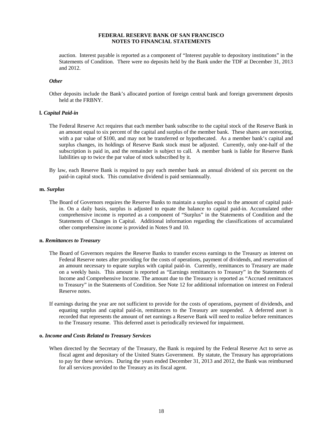auction. Interest payable is reported as a component of "Interest payable to depository institutions" in the Statements of Condition. There were no deposits held by the Bank under the TDF at December 31, 2013 and 2012.

#### *Other*

Other deposits include the Bank's allocated portion of foreign central bank and foreign government deposits held at the FRBNY.

#### **l.** *Capital Paid-in*

- The Federal Reserve Act requires that each member bank subscribe to the capital stock of the Reserve Bank in an amount equal to six percent of the capital and surplus of the member bank. These shares are nonvoting, with a par value of \$100, and may not be transferred or hypothecated. As a member bank's capital and surplus changes, its holdings of Reserve Bank stock must be adjusted. Currently, only one-half of the subscription is paid in, and the remainder is subject to call. A member bank is liable for Reserve Bank liabilities up to twice the par value of stock subscribed by it.
- By law, each Reserve Bank is required to pay each member bank an annual dividend of six percent on the paid-in capital stock. This cumulative dividend is paid semiannually.

#### **m.** *Surplus*

The Board of Governors requires the Reserve Banks to maintain a surplus equal to the amount of capital paidin. On a daily basis, surplus is adjusted to equate the balance to capital paid-in. Accumulated other comprehensive income is reported as a component of "Surplus" in the Statements of Condition and the Statements of Changes in Capital. Additional information regarding the classifications of accumulated other comprehensive income is provided in Notes 9 and 10.

#### **n.** *Remittances to Treasury*

- The Board of Governors requires the Reserve Banks to transfer excess earnings to the Treasury as interest on Federal Reserve notes after providing for the costs of operations, payment of dividends, and reservation of an amount necessary to equate surplus with capital paid-in. Currently, remittances to Treasury are made on a weekly basis. This amount is reported as "Earnings remittances to Treasury" in the Statements of Income and Comprehensive Income. The amount due to the Treasury is reported as "Accrued remittances to Treasury" in the Statements of Condition. See Note 12 for additional information on interest on Federal Reserve notes.
- If earnings during the year are not sufficient to provide for the costs of operations, payment of dividends, and equating surplus and capital paid-in, remittances to the Treasury are suspended. A deferred asset is recorded that represents the amount of net earnings a Reserve Bank will need to realize before remittances to the Treasury resume. This deferred asset is periodically reviewed for impairment.

#### **o.** *Income and Costs Related to Treasury Services*

When directed by the Secretary of the Treasury, the Bank is required by the Federal Reserve Act to serve as fiscal agent and depositary of the United States Government. By statute, the Treasury has appropriations to pay for these services. During the years ended December 31, 2013 and 2012, the Bank was reimbursed for all services provided to the Treasury as its fiscal agent.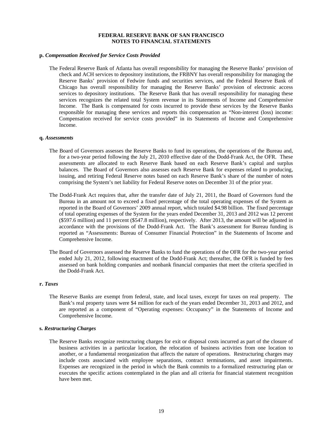#### **p.** *Compensation Received for Service Costs Provided*

The Federal Reserve Bank of Atlanta has overall responsibility for managing the Reserve Banks' provision of check and ACH services to depository institutions, the FRBNY has overall responsibility for managing the Reserve Banks' provision of Fedwire funds and securities services, and the Federal Reserve Bank of Chicago has overall responsibility for managing the Reserve Banks' provision of electronic access services to depository institutions. The Reserve Bank that has overall responsibility for managing these services recognizes the related total System revenue in its Statements of Income and Comprehensive Income. The Bank is compensated for costs incurred to provide these services by the Reserve Banks responsible for managing these services and reports this compensation as "Non-interest (loss) income: Compensation received for service costs provided" in its Statements of Income and Comprehensive Income.

#### **q.** *Assessments*

- The Board of Governors assesses the Reserve Banks to fund its operations, the operations of the Bureau and, for a two-year period following the July 21, 2010 effective date of the Dodd-Frank Act, the OFR. These assessments are allocated to each Reserve Bank based on each Reserve Bank's capital and surplus balances. The Board of Governors also assesses each Reserve Bank for expenses related to producing, issuing, and retiring Federal Reserve notes based on each Reserve Bank's share of the number of notes comprising the System's net liability for Federal Reserve notes on December 31 of the prior year.
- The Dodd-Frank Act requires that, after the transfer date of July 21, 2011, the Board of Governors fund the Bureau in an amount not to exceed a fixed percentage of the total operating expenses of the System as reported in the Board of Governors' 2009 annual report, which totaled \$4.98 billion. The fixed percentage of total operating expenses of the System for the years ended December 31, 2013 and 2012 was 12 percent (\$597.6 million) and 11 percent (\$547.8 million), respectively. After 2013, the amount will be adjusted in accordance with the provisions of the Dodd-Frank Act. The Bank's assessment for Bureau funding is reported as "Assessments: Bureau of Consumer Financial Protection" in the Statements of Income and Comprehensive Income.
- The Board of Governors assessed the Reserve Banks to fund the operations of the OFR for the two-year period ended July 21, 2012, following enactment of the Dodd-Frank Act; thereafter, the OFR is funded by fees assessed on bank holding companies and nonbank financial companies that meet the criteria specified in the Dodd-Frank Act.

#### **r.** *Taxes*

The Reserve Banks are exempt from federal, state, and local taxes, except for taxes on real property. The Bank's real property taxes were \$4 million for each of the years ended December 31, 2013 and 2012, and are reported as a component of "Operating expenses: Occupancy" in the Statements of Income and Comprehensive Income.

#### **s.** *Restructuring Charges*

The Reserve Banks recognize restructuring charges for exit or disposal costs incurred as part of the closure of business activities in a particular location, the relocation of business activities from one location to another, or a fundamental reorganization that affects the nature of operations. Restructuring charges may include costs associated with employee separations, contract terminations, and asset impairments. Expenses are recognized in the period in which the Bank commits to a formalized restructuring plan or executes the specific actions contemplated in the plan and all criteria for financial statement recognition have been met.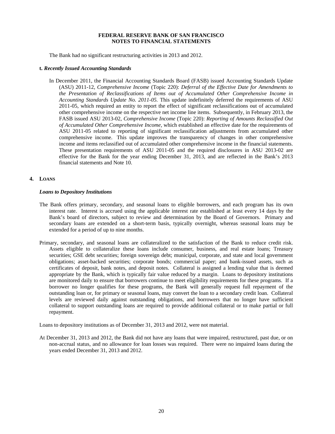The Bank had no significant restructuring activities in 2013 and 2012.

#### **t.** *Recently Issued Accounting Standards*

In December 2011, the Financial Accounting Standards Board (FASB) issued Accounting Standards Update (ASU) 2011-12, *Comprehensive Income* (Topic 220): *Deferral of the Effective Date for Amendments to the Presentation of Reclassifications of Items out of Accumulated Other Comprehensive Income in Accounting Standards Update No. 2011-05.* This update indefinitely deferred the requirements of ASU 2011-05, which required an entity to report the effect of significant reclassifications out of accumulated other comprehensive income on the respective net income line items. Subsequently, in February 2013, the FASB issued ASU 2013-02, *Comprehensive Income* (Topic 220): *Reporting of Amounts Reclassified Out of Accumulated Other Comprehensive Income,* which established an effective date for the requirements of ASU 2011-05 related to reporting of significant reclassification adjustments from accumulated other comprehensive income. This update improves the transparency of changes in other comprehensive income and items reclassified out of accumulated other comprehensive income in the financial statements. These presentation requirements of ASU 2011-05 and the required disclosures in ASU 2013-02 are effective for the Bank for the year ending December 31, 2013, and are reflected in the Bank's 2013 financial statements and Note 10.

# **4. LOANS**

#### *Loans to Depository Institutions*

- The Bank offers primary, secondary, and seasonal loans to eligible borrowers, and each program has its own interest rate. Interest is accrued using the applicable interest rate established at least every 14 days by the Bank's board of directors, subject to review and determination by the Board of Governors. Primary and secondary loans are extended on a short-term basis, typically overnight, whereas seasonal loans may be extended for a period of up to nine months.
- Primary, secondary, and seasonal loans are collateralized to the satisfaction of the Bank to reduce credit risk. Assets eligible to collateralize these loans include consumer, business, and real estate loans; Treasury securities; GSE debt securities; foreign sovereign debt; municipal, corporate, and state and local government obligations; asset-backed securities; corporate bonds; commercial paper; and bank-issued assets, such as certificates of deposit, bank notes, and deposit notes. Collateral is assigned a lending value that is deemed appropriate by the Bank, which is typically fair value reduced by a margin. Loans to depository institutions are monitored daily to ensure that borrowers continue to meet eligibility requirements for these programs. If a borrower no longer qualifies for these programs, the Bank will generally request full repayment of the outstanding loan or, for primary or seasonal loans, may convert the loan to a secondary credit loan. Collateral levels are reviewed daily against outstanding obligations, and borrowers that no longer have sufficient collateral to support outstanding loans are required to provide additional collateral or to make partial or full repayment.

Loans to depository institutions as of December 31, 2013 and 2012, were not material.

At December 31, 2013 and 2012, the Bank did not have any loans that were impaired, restructured, past due, or on non-accrual status, and no allowance for loan losses was required. There were no impaired loans during the years ended December 31, 2013 and 2012.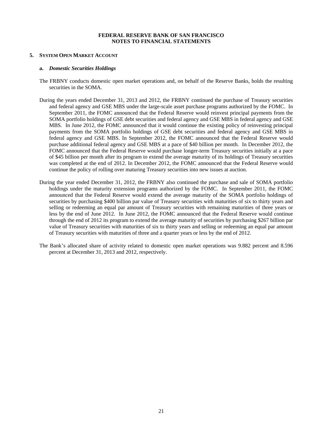## **5. SYSTEM OPEN MARKET ACCOUNT**

#### **a.** *Domestic Securities Holdings*

- The FRBNY conducts domestic open market operations and, on behalf of the Reserve Banks, holds the resulting securities in the SOMA.
- During the years ended December 31, 2013 and 2012, the FRBNY continued the purchase of Treasury securities and federal agency and GSE MBS under the large-scale asset purchase programs authorized by the FOMC. In September 2011, the FOMC announced that the Federal Reserve would reinvest principal payments from the SOMA portfolio holdings of GSE debt securities and federal agency and GSE MBS in federal agency and GSE MBS. In June 2012, the FOMC announced that it would continue the existing policy of reinvesting principal payments from the SOMA portfolio holdings of GSE debt securities and federal agency and GSE MBS in federal agency and GSE MBS. In September 2012, the FOMC announced that the Federal Reserve would purchase additional federal agency and GSE MBS at a pace of \$40 billion per month. In December 2012, the FOMC announced that the Federal Reserve would purchase longer-term Treasury securities initially at a pace of \$45 billion per month after its program to extend the average maturity of its holdings of Treasury securities was completed at the end of 2012. In December 2012, the FOMC announced that the Federal Reserve would continue the policy of rolling over maturing Treasury securities into new issues at auction.
- During the year ended December 31, 2012, the FRBNY also continued the purchase and sale of SOMA portfolio holdings under the maturity extension programs authorized by the FOMC. In September 2011, the FOMC announced that the Federal Reserve would extend the average maturity of the SOMA portfolio holdings of securities by purchasing \$400 billion par value of Treasury securities with maturities of six to thirty years and selling or redeeming an equal par amount of Treasury securities with remaining maturities of three years or less by the end of June 2012. In June 2012, the FOMC announced that the Federal Reserve would continue through the end of 2012 its program to extend the average maturity of securities by purchasing \$267 billion par value of Treasury securities with maturities of six to thirty years and selling or redeeming an equal par amount of Treasury securities with maturities of three and a quarter years or less by the end of 2012.
- The Bank's allocated share of activity related to domestic open market operations was 9.882 percent and 8.596 percent at December 31, 2013 and 2012, respectively.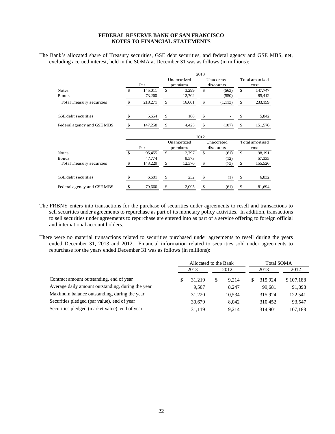The Bank's allocated share of Treasury securities, GSE debt securities, and federal agency and GSE MBS, net, excluding accrued interest, held in the SOMA at December 31 was as follows (in millions):

|                                  |               |         |    |                         | 2013 |                         |                 |                         |  |  |  |
|----------------------------------|---------------|---------|----|-------------------------|------|-------------------------|-----------------|-------------------------|--|--|--|
|                                  |               | Par     |    | Unamortized<br>premiums |      | Unaccreted<br>discounts |                 | Total amortized<br>cost |  |  |  |
| <b>Notes</b>                     | $\mathcal{S}$ | 145,011 | \$ | 3,299                   | \$   | (563)                   | $\mathbf{s}$    | 147,747                 |  |  |  |
| <b>Bonds</b>                     |               | 73,260  |    | 12,702                  |      | (550)                   |                 | 85,412                  |  |  |  |
| <b>Total Treasury securities</b> | \$            | 218,271 | \$ | 16,001                  | \$   | (1,113)                 | \$              | 233,159                 |  |  |  |
| GSE debt securities              | \$            | 5,654   | \$ | 188                     | \$   |                         |                 | 5,842                   |  |  |  |
| Federal agency and GSEMBS        |               | 147,258 | \$ | 4,425                   | \$   | (107)                   | \$              | 151,576                 |  |  |  |
|                                  | 2012          |         |    |                         |      |                         |                 |                         |  |  |  |
|                                  |               |         |    | Unamortized             |      | Unaccreted              | Total amortized |                         |  |  |  |
|                                  |               | Par     |    | premiums                |      | discounts               |                 | cost                    |  |  |  |
| <b>Notes</b>                     | $\mathcal{S}$ | 95,455  | \$ | 2,797                   | \$   | (61)                    | \$              | 98,191                  |  |  |  |
| <b>Bonds</b>                     |               | 47,774  |    | 9,573                   |      | (12)                    |                 | 57,335                  |  |  |  |
| Total Treasury securities        | \$.           | 143,229 | \$ | 12,370                  | \$   | (73)                    | \$              | 155,526                 |  |  |  |
| GSE debt securities              | £.            | 6,601   | \$ | 232                     | \$   | (1)                     |                 | 6,832                   |  |  |  |
| Federal agency and GSEMBS        | \$            | 79,660  | \$ | 2,095                   | \$   | (61)                    | \$              | 81,694                  |  |  |  |

The FRBNY enters into transactions for the purchase of securities under agreements to resell and transactions to sell securities under agreements to repurchase as part of its monetary policy activities. In addition, transactions to sell securities under agreements to repurchase are entered into as part of a service offering to foreign official and international account holders.

There were no material transactions related to securities purchased under agreements to resell during the years ended December 31, 2013 and 2012. Financial information related to securities sold under agreements to repurchase for the years ended December 31 was as follows (in millions):

|                                                   |        | Allocated to the Bank |       | <b>Total SOMA</b> |  |         |           |  |  |
|---------------------------------------------------|--------|-----------------------|-------|-------------------|--|---------|-----------|--|--|
|                                                   |        | 2013                  | 2012  |                   |  | 2013    | 2012      |  |  |
| Contract amount outstanding, end of year          |        | 31.219                | \$    | 9.214             |  | 315.924 | \$107,188 |  |  |
| Average daily amount outstanding, during the year |        | 9.507                 |       | 8.247             |  | 99.681  | 91,898    |  |  |
| Maximum balance outstanding, during the year      |        | 31,220                |       | 10.534            |  | 315.924 | 122,541   |  |  |
| Securities pledged (par value), end of year       |        | 30.679                |       | 8.042             |  | 310.452 | 93,547    |  |  |
| Securities pledged (market value), end of year    | 31.119 |                       | 9.214 |                   |  | 314.901 | 107,188   |  |  |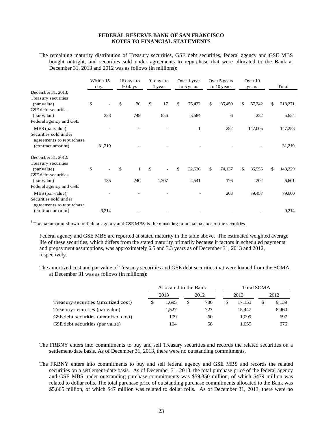The remaining maturity distribution of Treasury securities, GSE debt securities, federal agency and GSE MBS bought outright, and securities sold under agreements to repurchase that were allocated to the Bank at December 31, 2013 and 2012 was as follows (in millions):

|                                |               | Within 15<br>days | 16 days to<br>90 days |              | 91 days to<br>1 year | Over 1 year<br>to 5 years | Over 5 years<br>to 10 years |        | Over 10<br>years |    | Total   |
|--------------------------------|---------------|-------------------|-----------------------|--------------|----------------------|---------------------------|-----------------------------|--------|------------------|----|---------|
| December 31, 2013:             |               |                   |                       |              |                      |                           |                             |        |                  |    |         |
| Treasury securities            |               |                   |                       |              |                      |                           |                             |        |                  |    |         |
| (par value)                    | \$            |                   | \$<br>30              | $\mathbb{S}$ | 17                   | \$<br>75,432              | \$                          | 85,450 | \$<br>57,342     | \$ | 218,271 |
| <b>GSE</b> debt securities     |               |                   |                       |              |                      |                           |                             |        |                  |    |         |
| (par value)                    |               | 228               | 748                   |              | 856                  | 3,584                     |                             | 6      | 232              |    | 5,654   |
| Federal agency and GSE         |               |                   |                       |              |                      |                           |                             |        |                  |    |         |
| $MBS$ (par value) <sup>1</sup> |               |                   |                       |              |                      | 1                         |                             | 252    | 147,005          |    | 147,258 |
| Securities sold under          |               |                   |                       |              |                      |                           |                             |        |                  |    |         |
| agreements to repurchase       |               |                   |                       |              |                      |                           |                             |        |                  |    |         |
| (contract amount)              |               | 31,219            |                       |              |                      |                           |                             |        |                  |    | 31,219  |
|                                |               |                   |                       |              |                      |                           |                             |        |                  |    |         |
| December 31, 2012:             |               |                   |                       |              |                      |                           |                             |        |                  |    |         |
| Treasury securities            |               |                   |                       |              |                      |                           |                             |        |                  |    |         |
| (par value)                    | $\mathcal{L}$ |                   | \$<br>$\mathbf{1}$    | $\mathbb{S}$ | $\overline{a}$       | \$<br>32,536              | \$                          | 74,137 | \$<br>36,555     | \$ | 143,229 |
| <b>GSE</b> debt securities     |               |                   |                       |              |                      |                           |                             |        |                  |    |         |
| (par value)                    |               | 135               | 240                   |              | 1,307                | 4,541                     |                             | 176    | 202              |    | 6,601   |
| Federal agency and GSE         |               |                   |                       |              |                      |                           |                             |        |                  |    |         |
| $MBS$ (par value) <sup>1</sup> |               |                   |                       |              |                      |                           |                             | 203    | 79,457           |    | 79,660  |
| Securities sold under          |               |                   |                       |              |                      |                           |                             |        |                  |    |         |
| agreements to repurchase       |               |                   |                       |              |                      |                           |                             |        |                  |    |         |
| (contract amount)              |               | 9,214             |                       |              |                      |                           |                             |        |                  |    | 9,214   |

 $1$  The par amount shown for federal agency and GSEMBS is the remaining principal balance of the securities.

Federal agency and GSE MBS are reported at stated maturity in the table above. The estimated weighted average life of these securities, which differs from the stated maturity primarily because it factors in scheduled payments and prepayment assumptions, was approximately 6.5 and 3.3 years as of December 31, 2013 and 2012, respectively.

The amortized cost and par value of Treasury securities and GSE debt securities that were loaned from the SOMA at December 31 was as follows (in millions):

|                                        |     | Allocated to the Bank |    |      |   | Total SOMA |      |       |  |
|----------------------------------------|-----|-----------------------|----|------|---|------------|------|-------|--|
|                                        |     | 2013                  |    | 2012 |   | 2013       | 2012 |       |  |
| Treasury securities (amortized cost)   | S   | 1.695                 |    | 786  | S | 17.153     | S    | 9,139 |  |
| Treasury securities (par value)        |     | 1.527                 |    | 727  |   | 15.447     |      | 8,460 |  |
| GSE debt securities (amortized cost)   |     | 109                   |    | 60   |   | 1.099      |      | 697   |  |
| <b>GSE</b> debt securities (par value) | 104 |                       | 58 |      |   | 1.055      |      | 676   |  |

- The FRBNY enters into commitments to buy and sell Treasury securities and records the related securities on a settlement-date basis. As of December 31, 2013, there were no outstanding commitments.
- The FRBNY enters into commitments to buy and sell federal agency and GSE MBS and records the related securities on a settlement-date basis. As of December 31, 2013, the total purchase price of the federal agency and GSE MBS under outstanding purchase commitments was \$59,350 million, of which \$479 million was related to dollar rolls. The total purchase price of outstanding purchase commitments allocated to the Bank was \$5,865 million, of which \$47 million was related to dollar rolls. As of December 31, 2013, there were no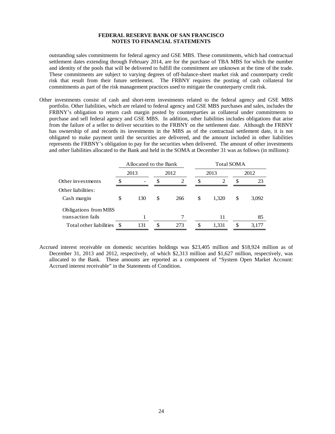outstanding sales commitments for federal agency and GSE MBS. These commitments, which had contractual settlement dates extending through February 2014, are for the purchase of TBA MBS for which the number and identity of the pools that will be delivered to fulfill the commitment are unknown at the time of the trade. These commitments are subject to varying degrees of off-balance-sheet market risk and counterparty credit risk that result from their future settlement. The FRBNY requires the posting of cash collateral for commitments as part of the risk management practices used to mitigate the counterparty credit risk.

Other investments consist of cash and short-term investments related to the federal agency and GSE MBS portfolio. Other liabilities, which are related to federal agency and GSE MBS purchases and sales, includes the FRBNY's obligation to return cash margin posted by counterparties as collateral under commitments to purchase and sell federal agency and GSE MBS. In addition, other liabilities includes obligations that arise from the failure of a seller to deliver securities to the FRBNY on the settlement date. Although the FRBNY has ownership of and records its investments in the MBS as of the contractual settlement date, it is not obligated to make payment until the securities are delivered, and the amount included in other liabilities represents the FRBNY's obligation to pay for the securities when delivered. The amount of other investments and other liabilities allocated to the Bank and held in the SOMA at December 31 was as follows (in millions):

|                                           |    | Allocated to the Bank |           | <b>Total SOMA</b> |       |      |       |  |  |
|-------------------------------------------|----|-----------------------|-----------|-------------------|-------|------|-------|--|--|
|                                           |    | 2013                  | 2012      |                   | 2013  | 2012 |       |  |  |
| Other investments                         | ה. |                       |           | \$.               | 23    |      |       |  |  |
| Other liabilities:<br>Cash margin         | \$ | 130                   | \$<br>266 | S                 | 1,320 |      | 3,092 |  |  |
| Obligations from MBS<br>transaction fails |    |                       | 7         |                   | 11    |      | 85    |  |  |
| Total other liabilities                   |    | 131                   | 273       |                   | 1,331 |      | 3,177 |  |  |

Accrued interest receivable on domestic securities holdings was \$23,405 million and \$18,924 million as of December 31, 2013 and 2012, respectively, of which \$2,313 million and \$1,627 million, respectively, was allocated to the Bank. These amounts are reported as a component of "System Open Market Account: Accrued interest receivable" in the Statements of Condition.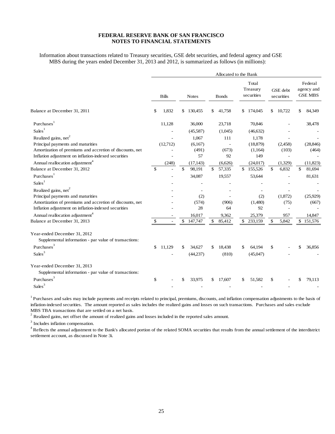Information about transactions related to Treasury securities, GSE debt securities, and federal agency and GSE MBS during the years ended December 31, 2013 and 2012, is summarized as follows (in millions):

|                                                                                       |              |               |              | Allocated to the Bank |    |                                 |    |                        |              |                                         |
|---------------------------------------------------------------------------------------|--------------|---------------|--------------|-----------------------|----|---------------------------------|----|------------------------|--------------|-----------------------------------------|
|                                                                                       | <b>Bills</b> | <b>Notes</b>  |              | <b>Bonds</b>          |    | Total<br>Treasury<br>securities |    | GSE debt<br>securities |              | Federal<br>agency and<br><b>GSE MBS</b> |
| Balance at December 31, 2011                                                          | 1,832<br>\$  | \$<br>130,455 | S.           | 41,758                | \$ | 174,045                         | \$ | 10.722                 | \$           | 84,349                                  |
| Purchases <sup>1</sup>                                                                | 11,128       | 36,000        |              | 23,718                |    | 70,846                          |    |                        |              | 38,478                                  |
| Sales <sup>1</sup>                                                                    |              | (45,587)      |              | (1,045)               |    | (46, 632)                       |    |                        |              |                                         |
| Realized gains, net <sup>2</sup>                                                      |              | 1,067         |              | 111                   |    | 1,178                           |    |                        |              |                                         |
| Principal payments and maturities                                                     | (12,712)     | (6,167)       |              |                       |    | (18, 879)                       |    | (2,458)                |              | (28, 846)                               |
| Amortization of premiums and accretion of discounts, net                              |              | (491)         |              | (673)                 |    | (1,164)                         |    | (103)                  |              | (464)                                   |
| Inflation adjustment on inflation-indexed securities                                  |              | 57            |              | 92                    |    | 149                             |    |                        |              |                                         |
| Annual reallocation adjustment <sup>4</sup>                                           | (248)        | (17, 143)     |              | (6,626)               |    | (24, 017)                       |    | (1,329)                |              | (11,823)                                |
| Balance at December 31, 2012                                                          | \$           | \$<br>98,191  | $\mathbb{S}$ | 57,335                |    | \$155,526                       | \$ | 6,832                  | \$           | 81,694                                  |
| Purchases <sup>1</sup>                                                                |              | 34,087        |              | 19,557                |    | 53,644                          |    |                        |              | 81,631                                  |
| Sales <sup>1</sup>                                                                    |              |               |              |                       |    |                                 |    |                        |              |                                         |
| Realized gains, net <sup>2</sup>                                                      |              |               |              |                       |    |                                 |    |                        |              |                                         |
| Principal payments and maturities                                                     |              | (2)           |              |                       |    | (2)                             |    | (1,872)                |              | (25,929)                                |
| Amortization of premiums and accretion of discounts, net                              |              | (574)         |              | (906)                 |    | (1,480)                         |    | (75)                   |              | (667)                                   |
| Inflation adjustment on inflation-indexed securities                                  |              | 28            |              | 64                    |    | 92                              |    |                        |              |                                         |
| Annual reallocation adjustment <sup>4</sup>                                           |              | 16,017        |              | 9,362                 |    | 25,379                          |    | 957                    |              | 14,847                                  |
| Balance at December 31, 2013                                                          | \$           | \$<br>147,747 | \$.          | 85,412                | \$ | 233,159                         | \$ | 5,842                  | $\mathbb{S}$ | 151,576                                 |
| Year-ended December 31, 2012<br>Supplemental information - par value of transactions: |              |               |              |                       |    |                                 |    |                        |              |                                         |
| Purchases <sup>3</sup>                                                                | \$<br>11,129 | \$<br>34,627  | \$.          | 18,438                | \$ | 64,194                          | \$ |                        | \$           | 36,856                                  |
| Sales <sup>3</sup>                                                                    |              | (44,237)      |              | (810)                 |    | (45,047)                        |    |                        |              |                                         |
| Year-ended December 31, 2013                                                          |              |               |              |                       |    |                                 |    |                        |              |                                         |
| Supplemental information - par value of transactions:                                 |              |               |              |                       |    |                                 |    |                        |              |                                         |
| Purchases <sup>3</sup>                                                                | \$           | \$<br>33.975  |              | 17,607                | \$ | 51,582                          | \$ |                        | \$           | 79,113                                  |
| Sales <sup>3</sup>                                                                    |              |               |              |                       |    |                                 |    |                        |              |                                         |

<sup>1</sup> Purchases and sales may include payments and receipts related to principal, premiums, discounts, and inflation compensation adjustments to the basis of inflation-indexed securities. The amount reported as sales includes the realized gains and losses on such transactions. Purchases and sales exclude MBS TBA transactions that are settled on a net basis.

 $2^{2}$  Realized gains, net offset the amount of realized gains and losses included in the reported sales amount.

<sup>3</sup> Includes inflation compensation.

<sup>4</sup> Reflects the annual adjustment to the Bank's allocated portion of the related SOMA securities that results from the annual settlement of the interdistrict settlement account, as discussed in Note 3i.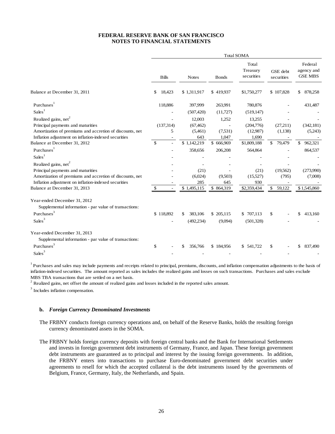|                                                          |               |               |               | <b>Total SOMA</b>               |                        |                                         |
|----------------------------------------------------------|---------------|---------------|---------------|---------------------------------|------------------------|-----------------------------------------|
|                                                          | <b>Bills</b>  | <b>Notes</b>  | <b>B</b> onds | Total<br>Treasury<br>securities | GSE debt<br>securities | Federal<br>agency and<br><b>GSE MBS</b> |
| Balance at December 31, 2011                             | \$<br>18,423  | \$1,311,917   | \$419,937     | \$1,750,277                     | \$107,828              | 878,258<br>\$                           |
| Purchases <sup>1</sup>                                   | 118,886       | 397,999       | 263,991       | 780,876                         |                        | 431,487                                 |
| Sales <sup>1</sup>                                       |               | (507, 420)    | (11,727)      | (519, 147)                      |                        |                                         |
| Realized gains, net <sup>2</sup>                         |               | 12,003        | 1,252         | 13,255                          |                        |                                         |
| Principal payments and maturities                        | (137,314)     | (67, 462)     |               | (204,776)                       | (27,211)               | (342, 181)                              |
| Amortization of premiums and accretion of discounts, net | 5             | (5,461)       | (7,531)       | (12,987)                        | (1,138)                | (5,243)                                 |
| Inflation adjustment on inflation-indexed securities     |               | 643           | 1,047         | 1,690                           |                        |                                         |
| Balance at December 31, 2012                             | $\mathcal{S}$ | \$1,142,219   | \$666,969     | \$1,809,188                     | 79,479<br>\$.          | \$.<br>962,321                          |
| Purchases <sup>1</sup>                                   |               | 358,656       | 206,208       | 564,864                         |                        | 864,537                                 |
| Sales <sup>1</sup>                                       |               |               |               |                                 |                        |                                         |
| Realized gains, net <sup>2</sup>                         |               |               |               |                                 |                        |                                         |
| Principal payments and maturities                        |               | (21)          |               | (21)                            | (19,562)               | (273,990)                               |
| Amortization of premiums and accretion of discounts, net |               | (6,024)       | (9,503)       | (15,527)                        | (795)                  | (7,008)                                 |
| Inflation adjustment on inflation-indexed securities     |               | 285           | 645           | 930                             |                        |                                         |
| Balance at December 31, 2013                             | \$            | \$1,495,115   | \$864,319     | \$2,359,434                     | \$59,122               | \$1,545,860                             |
| Year-ended December 31, 2012                             |               |               |               |                                 |                        |                                         |
| Supplemental information - par value of transactions:    |               |               |               |                                 |                        |                                         |
| Purchases <sup>3</sup>                                   | \$118,892     | 383,106<br>\$ | \$ 205,115    | \$707,113                       | \$                     | \$<br>413,160                           |
| Sales <sup>3</sup>                                       |               | (492, 234)    | (9,094)       | (501,328)                       |                        |                                         |
| Year-ended December 31, 2013                             |               |               |               |                                 |                        |                                         |
| Supplemental information - par value of transactions:    |               |               |               |                                 |                        |                                         |
| $\ensuremath{\mathsf{P} \text{urchases}}^3$              | \$            | \$<br>356,766 | \$184,956     | \$541,722                       | \$                     | \$.<br>837,490                          |
| Sales <sup>3</sup>                                       |               |               |               |                                 |                        |                                         |

<sup>1</sup> Purchases and sales may include payments and receipts related to principal, premiums, discounts, and inflation compensation adjustments to the basis of inflation-indexed securities. The amount reported as sales includes the realized gains and losses on such transactions. Purchases and sales exclude MBS TBA transactions that are settled on a net basis.

 $2^{2}$  Realized gains, net offset the amount of realized gains and losses included in the reported sales amount.

<sup>3</sup> Includes inflation compensation.

#### **b.** *Foreign Currency Denominated Investments*

- The FRBNY conducts foreign currency operations and, on behalf of the Reserve Banks, holds the resulting foreign currency denominated assets in the SOMA.
- The FRBNY holds foreign currency deposits with foreign central banks and the Bank for International Settlements and invests in foreign government debt instruments of Germany, France, and Japan. These foreign government debt instruments are guaranteed as to principal and interest by the issuing foreign governments. In addition, the FRBNY enters into transactions to purchase Euro-denominated government debt securities under agreements to resell for which the accepted collateral is the debt instruments issued by the governments of Belgium, France, Germany, Italy, the Netherlands, and Spain.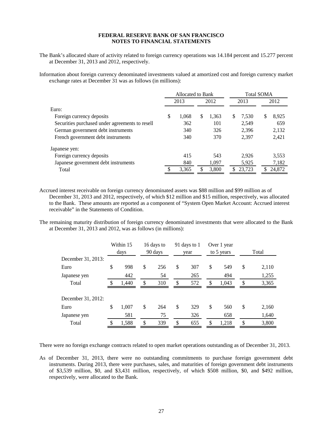The Bank's allocated share of activity related to foreign currency operations was 14.184 percent and 15.277 percent at December 31, 2013 and 2012, respectively.

Information about foreign currency denominated investments valued at amortized cost and foreign currency market exchange rates at December 31 was as follows (in millions):

|                                                 | Allocated to Bank |       |      |       | <b>Total SOMA</b> |        |   |        |
|-------------------------------------------------|-------------------|-------|------|-------|-------------------|--------|---|--------|
|                                                 | 2013              |       | 2012 |       | 2013              |        |   | 2012   |
| Euro:                                           |                   |       |      |       |                   |        |   |        |
| Foreign currency deposits                       | \$                | 1.068 | S    | 1,363 | S                 | 7.530  | S | 8,925  |
| Securities purchased under agreements to resell |                   | 362   |      | 101   |                   | 2.549  |   | 659    |
| German government debt instruments              |                   | 340   |      | 326   |                   | 2,396  |   | 2,132  |
| French government debt instruments              |                   | 340   |      | 370   |                   | 2.397  |   | 2,421  |
| Japanese yen:                                   |                   |       |      |       |                   |        |   |        |
| Foreign currency deposits                       |                   | 415   |      | 543   |                   | 2.926  |   | 3,553  |
| Japanese government debt instruments            |                   | 840   |      | 1,097 |                   | 5,925  |   | 7,182  |
| Total                                           |                   | 3,365 |      | 3,800 |                   | 23,723 |   | 24,872 |

Accrued interest receivable on foreign currency denominated assets was \$88 million and \$99 million as of December 31, 2013 and 2012, respectively, of which \$12 million and \$15 million, respectively, was allocated to the Bank. These amounts are reported as a component of "System Open Market Account: Accrued interest receivable" in the Statements of Condition.

The remaining maturity distribution of foreign currency denominated investments that were allocated to the Bank at December 31, 2013 and 2012, was as follows (in millions):

|                    | Within 15   | 16 days to |    | 91 days to 1 |    | Over 1 year |               |       |  |
|--------------------|-------------|------------|----|--------------|----|-------------|---------------|-------|--|
|                    | days        | 90 days    |    | year         |    | to 5 years  | Total         |       |  |
| December 31, 2013: |             |            |    |              |    |             |               |       |  |
| Euro               | \$<br>998   | \$<br>256  | \$ | 307          | \$ | 549         | \$            | 2,110 |  |
| Japanese yen       | 442         | 54         |    | 265          |    | 494         |               | 1,255 |  |
| Total              | 1,440       | \$<br>310  | \$ | 572          | \$ | 1,043       | <sup>\$</sup> | 3,365 |  |
|                    |             |            |    |              |    |             |               |       |  |
| December 31, 2012: |             |            |    |              |    |             |               |       |  |
| Euro               | \$<br>1,007 | \$<br>264  | \$ | 329          | \$ | 560         | \$            | 2,160 |  |
| Japanese yen       | 581         | 75         |    | 326          |    | 658         |               | 1,640 |  |
| Total              | \$<br>1,588 | \$<br>339  | \$ | 655          | \$ | 1,218       | \$            | 3,800 |  |

There were no foreign exchange contracts related to open market operations outstanding as of December 31, 2013.

As of December 31, 2013, there were no outstanding commitments to purchase foreign government debt instruments. During 2013, there were purchases, sales, and maturities of foreign government debt instruments of \$3,539 million, \$0, and \$3,431 million, respectively, of which \$508 million, \$0, and \$492 million, respectively, were allocated to the Bank.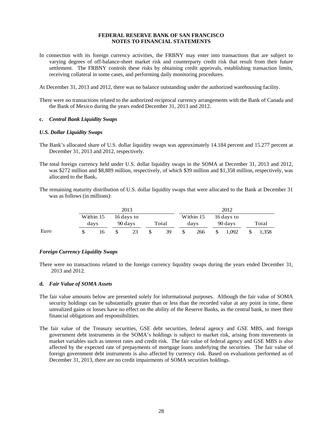- In connection with its foreign currency activities, the FRBNY may enter into transactions that are subject to varying degrees of off-balance-sheet market risk and counterparty credit risk that result from their future settlement. The FRBNY controls these risks by obtaining credit approvals, establishing transaction limits, receiving collateral in some cases, and performing daily monitoring procedures.
- At December 31, 2013 and 2012, there was no balance outstanding under the authorized warehousing facility.
- There were no transactions related to the authorized reciprocal currency arrangements with the Bank of Canada and the Bank of Mexico during the years ended December 31, 2013 and 2012.

#### **c.** *Central Bank Liquidity Swaps*

#### *U.S. Dollar Liquidity Swaps*

- The Bank's allocated share of U.S. dollar liquidity swaps was approximately 14.184 percent and 15.277 percent at December 31, 2013 and 2012, respectively.
- The total foreign currency held under U.S. dollar liquidity swaps in the SOMA at December 31, 2013 and 2012, was \$272 million and \$8,889 million, respectively, of which \$39 million and \$1,358 million, respectively, was allocated to the Bank**.**
- The remaining maturity distribution of U.S. dollar liquidity swaps that were allocated to the Bank at December 31 was as follows (in millions):

|      |           | 2013       |       | 2012          |           |   |            |  |       |
|------|-----------|------------|-------|---------------|-----------|---|------------|--|-------|
|      | Within 15 | 16 days to |       |               | Within 15 |   | 16 days to |  |       |
|      | days      | 90 days    | Total |               | davs      |   | 90 days    |  | Total |
| Euro | 16        | 23         | 39    | <sup>\$</sup> | 266       | S | 1,092      |  | 1,358 |

#### *Foreign Currency Liquidity Swaps*

There were no transactions related to the foreign currency liquidity swaps during the years ended December 31, 2013 and 2012.

#### **d.** *Fair Value of SOMA Assets*

- The fair value amounts below are presented solely for informational purposes. Although the fair value of SOMA security holdings can be substantially greater than or less than the recorded value at any point in time, these unrealized gains or losses have no effect on the ability of the Reserve Banks, as the central bank, to meet their financial obligations and responsibilities.
- The fair value of the Treasury securities, GSE debt securities, federal agency and GSE MBS, and foreign government debt instruments in the SOMA's holdings is subject to market risk, arising from movements in market variables such as interest rates and credit risk. The fair value of federal agency and GSE MBS is also affected by the expected rate of prepayments of mortgage loans underlying the securities. The fair value of foreign government debt instruments is also affected by currency risk. Based on evaluations performed as of December 31, 2013, there are no credit impairments of SOMA securities holdings.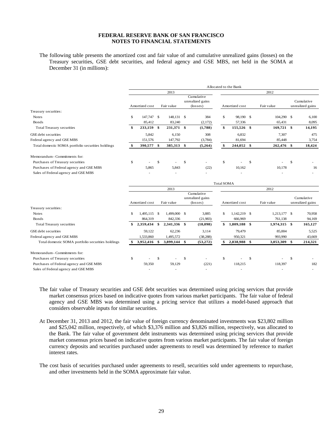The following table presents the amortized cost and fair value of and cumulative unrealized gains (losses) on the Treasury securities, GSE debt securities, and federal agency and GSE MBS, net held in the SOMA at December 31 (in millions):

|                                                   |                | Allocated to the Bank |               |              |    |                                                     |                   |                |            |              |                                |                                |
|---------------------------------------------------|----------------|-----------------------|---------------|--------------|----|-----------------------------------------------------|-------------------|----------------|------------|--------------|--------------------------------|--------------------------------|
|                                                   |                |                       |               | 2013         |    |                                                     |                   |                |            | 2012         |                                |                                |
|                                                   | Amortized cost |                       |               | Fair value   |    | Cumulative<br>unrealized gains<br>$(\text{loss}$    | Amortized cost    |                | Fair value |              | Cumulative<br>unrealized gains |                                |
| Treasury securities:                              |                |                       |               |              |    |                                                     |                   |                |            |              |                                |                                |
| <b>Notes</b>                                      | \$             | 147,747 \$            |               | 148,131 \$   |    | 384                                                 | \$                | 98.190 \$      |            | 104,290 \$   |                                | 6.100                          |
| <b>Bonds</b>                                      |                | 85,412                |               | 83,240       |    | (2,172)                                             |                   | 57,336         |            | 65,431       |                                | 8.095                          |
| <b>Total Treasury securities</b>                  | \$             | 233,159               | - \$          | 231,371 \$   |    | (1,788)                                             | \$                | 155,526 \$     |            | $169,721$ \$ |                                | 14,195                         |
| <b>GSE</b> debt securities                        |                | 5,842                 |               | 6.150        |    | 308                                                 |                   | 6.832          |            | 7,307        |                                | 475                            |
| Federal agency and GSE MBS                        |                | 151,576               |               | 147,792      |    | (3,784)                                             |                   | 81,694         |            | 85,448       |                                | 3,754                          |
| Total domestic SOMA portfolio securities holdings | \$             | 390,577 \$            |               | 385,313 \$   |    | (5,264)                                             | \$                | 244,052 \$     |            | 262,476 \$   |                                | 18,424                         |
| Memorandum - Commitments for:                     |                |                       |               |              |    |                                                     |                   |                |            |              |                                |                                |
| Purchases of Treasury securities                  | \$             |                       | <sup>\$</sup> |              | \$ |                                                     | \$                |                | \$         |              | $\mathcal{S}$                  |                                |
| Purchases of Federal agency and GSEMBS            |                | 5,865                 |               | 5,843        |    | (22)                                                |                   | 10,162         |            | 10,178       |                                | 16                             |
| Sales of Federal agency and GSE MBS               |                |                       |               |              |    |                                                     |                   |                |            |              |                                |                                |
|                                                   |                |                       |               |              |    |                                                     | <b>Total SOMA</b> |                |            |              |                                |                                |
|                                                   |                |                       |               | 2013         |    |                                                     |                   |                |            | 2012         |                                |                                |
|                                                   |                | Amortized cost        |               | Fair value   |    | Cumulative<br>unrealized gains<br>$(\text{losses})$ |                   | Amortized cost |            | Fair value   |                                | Cumulative<br>unrealized gains |
| Treasury securities:                              |                |                       |               |              |    |                                                     |                   |                |            |              |                                |                                |
| <b>Notes</b>                                      | \$.            | 1,495,115 \$          |               | 1,499,000 \$ |    | 3,885                                               | \$                | 1,142,219 \$   |            | 1,213,177 \$ |                                | 70,958                         |
| Bonds                                             |                | 864,319               |               | 842,336      |    | (21,983)                                            |                   | 666,969        |            | 761.138      |                                | 94,169                         |
| <b>Total Treasury securities</b>                  |                | 2,359,434             | \$            | 2,341,336 \$ |    | (18,098)                                            | \$                | 1,809,188 \$   |            | 1,974,315 \$ |                                | 165,127                        |
| GSE debt securities                               |                | 59,122                |               | 62,236       |    | 3,114                                               |                   | 79,479         |            | 85,004       |                                | 5,525                          |
| Federal agency and GSE MBS                        |                | 1,533,860             |               | 1,495,572    |    | (38, 288)                                           |                   | 950,321        |            | 993,990      |                                | 43,669                         |
| Total domestic SOMA portfolio securities holdings |                | 3,952,416             | Ŝ.            | 3,899,144    | \$ | (53, 272)                                           |                   | 2,838,988      | \$         | 3,053,309 \$ |                                | 214,321                        |

Memorandum - Commitments for: Purchases of Treasury securities 5 - \$ - \$ - \$ - \$ - \$ Purchases of Federal agency and GSE MBS 59,350 59,129 (221) 118,215 118,397 182 Sales of Federal agency and GSE MBS - - - - - -

The fair value of Treasury securities and GSE debt securities was determined using pricing services that provide market consensus prices based on indicative quotes from various market participants. The fair value of federal agency and GSE MBS was determined using a pricing service that utilizes a model-based approach that considers observable inputs for similar securities.

At December 31, 2013 and 2012, the fair value of foreign currency denominated investments was \$23,802 million and \$25,042 million, respectively, of which \$3,376 million and \$3,826 million, respectively, was allocated to the Bank. The fair value of government debt instruments was determined using pricing services that provide market consensus prices based on indicative quotes from various market participants. The fair value of foreign currency deposits and securities purchased under agreements to resell was determined by reference to market interest rates.

The cost basis of securities purchased under agreements to resell, securities sold under agreements to repurchase, and other investments held in the SOMA approximate fair value.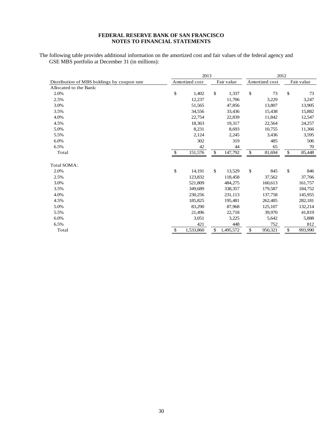The following table provides additional information on the amortized cost and fair values of the federal agency and GSE MBS portfolio at December 31 (in millions):

|                                             | 2013 |                |              | 2012       |                |    |            |
|---------------------------------------------|------|----------------|--------------|------------|----------------|----|------------|
| Distribution of MBS holdings by coupon rate |      | Amortized cost |              | Fair value | Amortized cost |    | Fair value |
| Allocated to the Bank:                      |      |                |              |            |                |    |            |
| 2.0%                                        | \$   | 1,402          | \$           | 1,337      | \$<br>73       | \$ | 73         |
| 2.5%                                        |      | 12,237         |              | 11,706     | 3,229          |    | 3,247      |
| 3.0%                                        |      | 51,565         |              | 47,856     | 13,807         |    | 13,905     |
| 3.5%                                        |      | 34,556         |              | 33,436     | 15,438         |    | 15,882     |
| 4.0%                                        |      | 22,754         |              | 22,839     | 11,842         |    | 12,547     |
| 4.5%                                        |      | 18,363         |              | 19,317     | 22,564         |    | 24,257     |
| 5.0%                                        |      | 8,231          |              | 8,693      | 10,755         |    | 11,366     |
| 5.5%                                        |      | 2,124          |              | 2,245      | 3,436          |    | 3,595      |
| 6.0%                                        |      | 302            |              | 319        | 485            |    | 506        |
| 6.5%                                        |      | 42             |              | 44         | 65             |    | 70         |
| Total                                       | \$   | 151,576        | $\mathbb{S}$ | 147,792    | \$<br>81,694   | \$ | 85,448     |
| Total SOMA:                                 |      |                |              |            |                |    |            |
| 2.0%                                        | \$   | 14,191         | \$           | 13,529     | \$<br>845      | \$ | 846        |
| 2.5%                                        |      | 123,832        |              | 118,458    | 37,562         |    | 37,766     |
| 3.0%                                        |      | 521,809        |              | 484,275    | 160,613        |    | 161,757    |
| 3.5%                                        |      | 349,689        |              | 338,357    | 179,587        |    | 184,752    |
| 4.0%                                        |      | 230,256        |              | 231,113    | 137,758        |    | 145,955    |
| 4.5%                                        |      | 185,825        |              | 195,481    | 262,485        |    | 282,181    |
| 5.0%                                        |      | 83,290         |              | 87,968     | 125,107        |    | 132,214    |
| 5.5%                                        |      | 21,496         |              | 22,718     | 39,970         |    | 41,819     |
| 6.0%                                        |      | 3,051          |              | 3,225      | 5,642          |    | 5,888      |
| 6.5%                                        |      | 421            |              | 448        | 752            |    | 812        |
| Total                                       | \$   | 1,533,860      | \$           | 1,495,572  | \$<br>950,321  | \$ | 993,990    |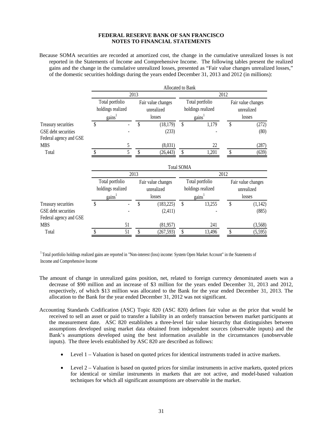Because SOMA securities are recorded at amortized cost, the change in the cumulative unrealized losses is not reported in the Statements of Income and Comprehensive Income. The following tables present the realized gains and the change in the cumulative unrealized losses, presented as "Fair value changes unrealized losses," of the domestic securities holdings during the years ended December 31, 2013 and 2012 (in millions):

|                        |                                                          |                    |      |                                            | Allocated to Bank |                                                                     |    |                                            |  |  |
|------------------------|----------------------------------------------------------|--------------------|------|--------------------------------------------|-------------------|---------------------------------------------------------------------|----|--------------------------------------------|--|--|
|                        |                                                          |                    | 2013 |                                            | 2012              |                                                                     |    |                                            |  |  |
|                        | Total portfolio<br>holdings realized<br>$\text{gains}^1$ |                    |      | Fair value changes<br>unrealized<br>losses |                   | Total portfolio<br>holdings realized<br>$\gamma$ gains <sup>1</sup> |    | Fair value changes<br>unrealized<br>losses |  |  |
| Treasury securities    | \$                                                       |                    | \$   | (18, 179)                                  | $\mathsf{\$}$     | 1,179                                                               | \$ | (272)                                      |  |  |
| GSE debt securities    |                                                          |                    |      | (233)                                      |                   |                                                                     |    | (80)                                       |  |  |
| Federal agency and GSE |                                                          |                    |      |                                            |                   |                                                                     |    |                                            |  |  |
| <b>MBS</b>             |                                                          | 5                  |      | (8,031)                                    |                   | 22                                                                  |    | (287)                                      |  |  |
| Total                  |                                                          | 5                  | \$   | (26, 443)                                  |                   | 1,201                                                               | \$ | (639)                                      |  |  |
|                        |                                                          |                    |      |                                            | <b>Total SOMA</b> |                                                                     |    |                                            |  |  |
|                        |                                                          |                    | 2013 |                                            | 2012              |                                                                     |    |                                            |  |  |
|                        |                                                          | Total portfolio    |      | Fair value changes                         |                   | Total portfolio                                                     |    | Fair value changes                         |  |  |
|                        |                                                          | holdings realized  |      | unrealized                                 |                   | holdings realized                                                   |    | unrealized                                 |  |  |
|                        |                                                          | gains <sup>1</sup> |      | losses                                     |                   | $\text{gains}^1$                                                    |    | losses                                     |  |  |
| Treasury securities    | \$                                                       |                    | \$   | (183, 225)                                 | \$                | 13,255                                                              | \$ | (1,142)                                    |  |  |
| GSE debt securities    |                                                          |                    |      | (2,411)                                    |                   |                                                                     |    | (885)                                      |  |  |
| Federal agency and GSE |                                                          |                    |      |                                            |                   |                                                                     |    |                                            |  |  |
| <b>MBS</b>             |                                                          | 51                 |      | (81, 957)                                  |                   | 241                                                                 |    | (3,568)                                    |  |  |
| Total                  |                                                          | 51                 | \$   | (267, 593)                                 | \$                | 13,496                                                              | \$ | (5,595)                                    |  |  |

 $1$ Total portfolio holdings realized gains are reported in "Non-interest (loss) income: System Open Market Account" in the Statements of Income and Comprehensive Income

- The amount of change in unrealized gains position, net, related to foreign currency denominated assets was a decrease of \$90 million and an increase of \$3 million for the years ended December 31, 2013 and 2012, respectively, of which \$13 million was allocated to the Bank for the year ended December 31, 2013. The allocation to the Bank for the year ended December 31, 2012 was not significant.
- Accounting Standards Codification (ASC) Topic 820 (ASC 820) defines fair value as the price that would be received to sell an asset or paid to transfer a liability in an orderly transaction between market participants at the measurement date. ASC 820 establishes a three-level fair value hierarchy that distinguishes between assumptions developed using market data obtained from independent sources (observable inputs) and the Bank's assumptions developed using the best information available in the circumstances (unobservable inputs). The three levels established by ASC 820 are described as follows:
	- Level 1 Valuation is based on quoted prices for identical instruments traded in active markets.
	- Level 2 Valuation is based on quoted prices for similar instruments in active markets, quoted prices for identical or similar instruments in markets that are not active, and model-based valuation techniques for which all significant assumptions are observable in the market.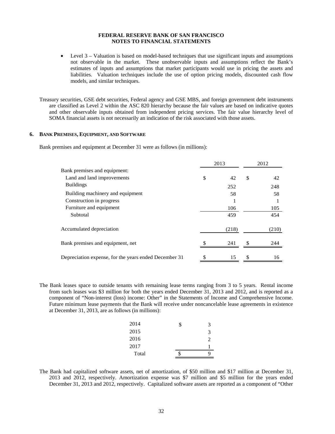• Level 3 – Valuation is based on model-based techniques that use significant inputs and assumptions not observable in the market. These unobservable inputs and assumptions reflect the Bank's estimates of inputs and assumptions that market participants would use in pricing the assets and liabilities. Valuation techniques include the use of option pricing models, discounted cash flow models, and similar techniques.

Treasury securities, GSE debt securities, Federal agency and GSE MBS, and foreign government debt instruments are classified as Level 2 within the ASC 820 hierarchy because the fair values are based on indicative quotes and other observable inputs obtained from independent pricing services. The fair value hierarchy level of SOMA financial assets is not necessarily an indication of the risk associated with those assets.

#### **6. BANK PREMISES, EQUIPMENT, AND SOFTWARE**

Bank premises and equipment at December 31 were as follows (in millions):

|                                                       | 2013     | 2012 |       |  |
|-------------------------------------------------------|----------|------|-------|--|
| Bank premises and equipment:                          |          |      |       |  |
| Land and land improvements                            | \$<br>42 | \$   | 42    |  |
| <b>Buildings</b>                                      | 252      |      | 248   |  |
| Building machinery and equipment                      | 58       |      | 58    |  |
| Construction in progress                              |          |      |       |  |
| Furniture and equipment                               | 106      |      | 105   |  |
| Subtotal                                              | 459      |      | 454   |  |
| Accumulated depreciation                              | (218)    |      | (210) |  |
| Bank premises and equipment, net                      | 241      |      | 244   |  |
| Depreciation expense, for the years ended December 31 | 15       |      | 16    |  |

The Bank leases space to outside tenants with remaining lease terms ranging from 3 to 5 years. Rental income from such leases was \$3 million for both the years ended December 31, 2013 and 2012, and is reported as a component of "Non-interest (loss) income: Other" in the Statements of Income and Comprehensive Income. Future minimum lease payments that the Bank will receive under noncancelable lease agreements in existence at December 31, 2013, are as follows (in millions):

| 2014  | \$<br>3        |
|-------|----------------|
| 2015  | 3              |
| 2016  | $\mathfrak{D}$ |
| 2017  |                |
| Total | q              |

The Bank had capitalized software assets, net of amortization, of \$50 million and \$17 million at December 31, 2013 and 2012, respectively. Amortization expense was \$7 million and \$5 million for the years ended December 31, 2013 and 2012, respectively. Capitalized software assets are reported as a component of "Other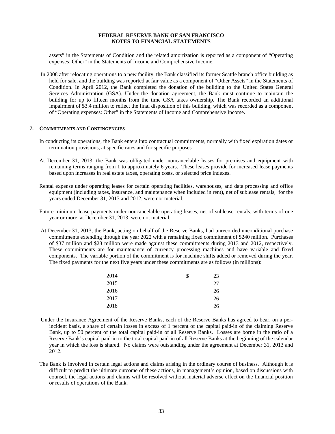assets" in the Statements of Condition and the related amortization is reported as a component of "Operating expenses: Other" in the Statements of Income and Comprehensive Income.

In 2008 after relocating operations to a new facility, the Bank classified its former Seattle branch office building as held for sale, and the building was reported at fair value as a component of "Other Assets" in the Statements of Condition. In April 2012, the Bank completed the donation of the building to the United States General Services Administration (GSA). Under the donation agreement, the Bank must continue to maintain the building for up to fifteen months from the time GSA takes ownership. The Bank recorded an additional impairment of \$3.4 million to reflect the final disposition of this building, which was recorded as a component of "Operating expenses: Other" in the Statements of Income and Comprehensive Income*.* 

#### **7. COMMITMENTS AND CONTINGENCIES**

- In conducting its operations, the Bank enters into contractual commitments, normally with fixed expiration dates or termination provisions, at specific rates and for specific purposes.
- At December 31, 2013, the Bank was obligated under noncancelable leases for premises and equipment with remaining terms ranging from 1 to approximately 6 years. These leases provide for increased lease payments based upon increases in real estate taxes, operating costs, or selected price indexes.
- Rental expense under operating leases for certain operating facilities, warehouses, and data processing and office equipment (including taxes, insurance, and maintenance when included in rent), net of sublease rentals, for the years ended December 31, 2013 and 2012, were not material.
- Future minimum lease payments under noncancelable operating leases, net of sublease rentals, with terms of one year or more, at December 31, 2013, were not material.
- At December 31, 2013, the Bank, acting on behalf of the Reserve Banks, had unrecorded unconditional purchase commitments extending through the year 2022 with a remaining fixed commitment of \$240 million. Purchases of \$37 million and \$28 million were made against these commitments during 2013 and 2012, respectively. These commitments are for maintenance of currency processing machines and have variable and fixed components. The variable portion of the commitment is for machine shifts added or removed during the year. The fixed payments for the next five years under these commitments are as follows (in millions):

| 2014 | \$<br>23 |
|------|----------|
| 2015 | 27       |
| 2016 | 26       |
| 2017 | 26       |
| 2018 | 26       |

- Under the Insurance Agreement of the Reserve Banks, each of the Reserve Banks has agreed to bear, on a perincident basis, a share of certain losses in excess of 1 percent of the capital paid-in of the claiming Reserve Bank, up to 50 percent of the total capital paid-in of all Reserve Banks. Losses are borne in the ratio of a Reserve Bank's capital paid-in to the total capital paid-in of all Reserve Banks at the beginning of the calendar year in which the loss is shared. No claims were outstanding under the agreement at December 31, 2013 and 2012.
- The Bank is involved in certain legal actions and claims arising in the ordinary course of business. Although it is difficult to predict the ultimate outcome of these actions, in management's opinion, based on discussions with counsel, the legal actions and claims will be resolved without material adverse effect on the financial position or results of operations of the Bank.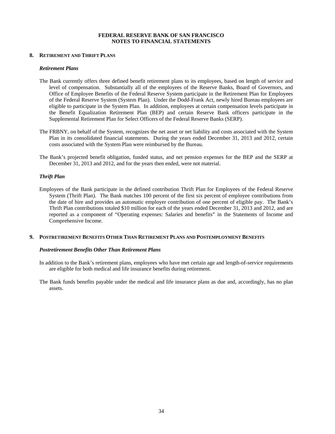#### **8. RETIREMENT AND THRIFT PLANS**

#### *Retirement Plans*

- The Bank currently offers three defined benefit retirement plans to its employees, based on length of service and level of compensation. Substantially all of the employees of the Reserve Banks, Board of Governors, and Office of Employee Benefits of the Federal Reserve System participate in the Retirement Plan for Employees of the Federal Reserve System (System Plan). Under the Dodd-Frank Act, newly hired Bureau employees are eligible to participate in the System Plan. In addition, employees at certain compensation levels participate in the Benefit Equalization Retirement Plan (BEP) and certain Reserve Bank officers participate in the Supplemental Retirement Plan for Select Officers of the Federal Reserve Banks (SERP).
- The FRBNY, on behalf of the System, recognizes the net asset or net liability and costs associated with the System Plan in its consolidated financial statements. During the years ended December 31, 2013 and 2012, certain costs associated with the System Plan were reimbursed by the Bureau.
- The Bank's projected benefit obligation, funded status, and net pension expenses for the BEP and the SERP at December 31, 2013 and 2012, and for the years then ended, were not material.

#### *Thrift Plan*

Employees of the Bank participate in the defined contribution Thrift Plan for Employees of the Federal Reserve System (Thrift Plan). The Bank matches 100 percent of the first six percent of employee contributions from the date of hire and provides an automatic employer contribution of one percent of eligible pay. The Bank's Thrift Plan contributions totaled \$10 million for each of the years ended December 31, 2013 and 2012, and are reported as a component of "Operating expenses: Salaries and benefits" in the Statements of Income and Comprehensive Income.

#### **9. POSTRETIREMENT BENEFITS OTHER THAN RETIREMENT PLANS AND POSTEMPLOYMENT BENEFITS**

#### *Postretirement Benefits Other Than Retirement Plans*

- In addition to the Bank's retirement plans, employees who have met certain age and length-of-service requirements are eligible for both medical and life insurance benefits during retirement.
- The Bank funds benefits payable under the medical and life insurance plans as due and, accordingly, has no plan assets.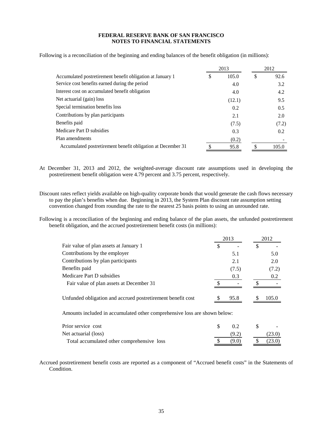Following is a reconciliation of the beginning and ending balances of the benefit obligation (in millions):

|                                                              |   | 2013   | 2012 |       |  |
|--------------------------------------------------------------|---|--------|------|-------|--|
| Accumulated postretirement benefit obligation at January 1   | S | 105.0  | S    | 92.6  |  |
| Service cost benefits earned during the period               |   | 4.0    |      | 3.2   |  |
| Interest cost on accumulated benefit obligation              |   | 4.0    |      | 4.2   |  |
| Net actuarial (gain) loss                                    |   | (12.1) |      | 9.5   |  |
| Special termination benefits loss                            |   | 0.2    |      | 0.5   |  |
| Contributions by plan participants                           |   | 2.1    |      | 2.0   |  |
| Benefits paid                                                |   | (7.5)  |      | (7.2) |  |
| Medicare Part D subsidies                                    |   | 0.3    |      | 0.2   |  |
| Plan amendments                                              |   | (0.2)  |      |       |  |
| Accumulated postretirement benefit obligation at December 31 |   | 95.8   |      | 105.0 |  |

At December 31, 2013 and 2012, the weighted-average discount rate assumptions used in developing the postretirement benefit obligation were 4.79 percent and 3.75 percent, respectively.

Discount rates reflect yields available on high-quality corporate bonds that would generate the cash flows necessary to pay the plan's benefits when due. Beginning in 2013, the System Plan discount rate assumption setting convention changed from rounding the rate to the nearest 25 basis points to using an unrounded rate.

Following is a reconciliation of the beginning and ending balance of the plan assets, the unfunded postretirement benefit obligation, and the accrued postretirement benefit costs (in millions):

|                                                                           | 2013      | 2012   |
|---------------------------------------------------------------------------|-----------|--------|
| Fair value of plan assets at January 1                                    | \$        | \$     |
| Contributions by the employer                                             | 5.1       | 5.0    |
| Contributions by plan participants                                        | 2.1       | 2.0    |
| Benefits paid                                                             | (7.5)     | (7.2)  |
| Medicare Part D subsidies                                                 | 0.3       | 0.2    |
| Fair value of plan assets at December 31                                  |           |        |
| Unfunded obligation and accrued postretirement benefit cost               | 95.8      | 105.0  |
| Amounts included in accumulated other comprehensive loss are shown below: |           |        |
| Prior service cost                                                        | \$<br>0.2 | \$     |
| Net actuarial (loss)                                                      | (9.2)     | (23.0) |

Accrued postretirement benefit costs are reported as a component of "Accrued benefit costs" in the Statements of Condition.

Total accumulated other comprehensive loss  $\qquad$  (9.0)  $\qquad$  (23.0)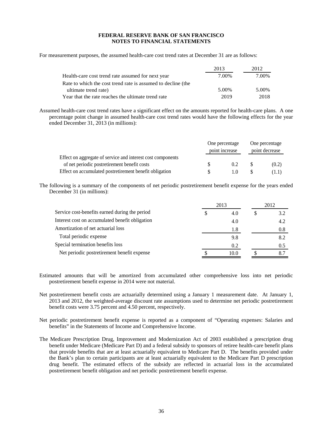For measurement purposes, the assumed health-care cost trend rates at December 31 are as follows:

|                                                              | 2013  | 2012  |
|--------------------------------------------------------------|-------|-------|
| Health-care cost trend rate assumed for next year            | 7.00% | 7.00% |
| Rate to which the cost trend rate is assumed to decline (the |       |       |
| ultimate trend rate)                                         | 5.00% | 5.00% |
| Year that the rate reaches the ultimate trend rate           | 2019  | 2018  |

Assumed health-care cost trend rates have a significant effect on the amounts reported for health-care plans. A one percentage point change in assumed health-care cost trend rates would have the following effects for the year ended December 31, 2013 (in millions):

|                                                             | One percentage<br>point increase |     | One percentage<br>point decrease |       |
|-------------------------------------------------------------|----------------------------------|-----|----------------------------------|-------|
|                                                             |                                  |     |                                  |       |
| Effect on aggregate of service and interest cost components |                                  |     |                                  |       |
| of net periodic postretirement benefit costs                |                                  | 0.2 |                                  | (0.2) |
| Effect on accumulated postretirement benefit obligation     |                                  | 10  |                                  | (1.1) |

The following is a summary of the components of net periodic postretirement benefit expense for the years ended December 31 (in millions):

| 2013                                            |   |      | 2012 |     |
|-------------------------------------------------|---|------|------|-----|
| Service cost-benefits earned during the period  | 2 | 4.0  |      | 3.2 |
| Interest cost on accumulated benefit obligation |   | 4.0  |      | 4.2 |
| Amortization of net actuarial loss              |   | 1.8  |      | 0.8 |
| Total periodic expense                          |   | 9.8  |      | 8.2 |
| Special termination benefits loss               |   | 0.2  |      | 0.5 |
| Net periodic postretirement benefit expense     |   | 10.0 |      |     |
|                                                 |   |      |      |     |

- Estimated amounts that will be amortized from accumulated other comprehensive loss into net periodic postretirement benefit expense in 2014 were not material.
- Net postretirement benefit costs are actuarially determined using a January 1 measurement date. At January 1, 2013 and 2012, the weighted-average discount rate assumptions used to determine net periodic postretirement benefit costs were 3.75 percent and 4.50 percent, respectively.
- Net periodic postretirement benefit expense is reported as a component of "Operating expenses: Salaries and benefits" in the Statements of Income and Comprehensive Income.
- The Medicare Prescription Drug, Improvement and Modernization Act of 2003 established a prescription drug benefit under Medicare (Medicare Part D) and a federal subsidy to sponsors of retiree health-care benefit plans that provide benefits that are at least actuarially equivalent to Medicare Part D. The benefits provided under the Bank's plan to certain participants are at least actuarially equivalent to the Medicare Part D prescription drug benefit. The estimated effects of the subsidy are reflected in actuarial loss in the accumulated postretirement benefit obligation and net periodic postretirement benefit expense.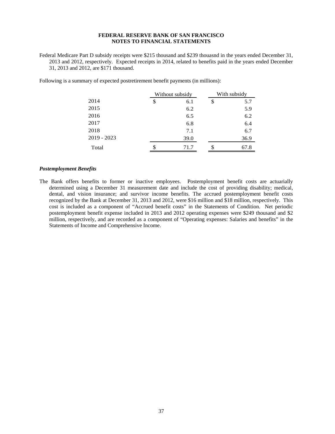Federal Medicare Part D subsidy receipts were \$215 thousand and \$239 thouasnd in the years ended December 31, 2013 and 2012, respectively. Expected receipts in 2014, related to benefits paid in the years ended December 31, 2013 and 2012, are \$171 thousand.

|               | Without subsidy |    | With subsidy |  |
|---------------|-----------------|----|--------------|--|
| 2014          | \$<br>6.1       | \$ | 5.7          |  |
| 2015          | 6.2             |    | 5.9          |  |
| 2016          | 6.5             |    | 6.2          |  |
| 2017          | 6.8             |    | 6.4          |  |
| 2018          | 7.1             |    | 6.7          |  |
| $2019 - 2023$ | 39.0            |    | 36.9         |  |
| Total         | \$<br>71.7      | \$ | 67.8         |  |

Following is a summary of expected postretirement benefit payments (in millions):

#### *Postemployment Benefits*

The Bank offers benefits to former or inactive employees. Postemployment benefit costs are actuarially determined using a December 31 measurement date and include the cost of providing disability; medical, dental, and vision insurance; and survivor income benefits. The accrued postemployment benefit costs recognized by the Bank at December 31, 2013 and 2012, were \$16 million and \$18 million, respectively. This cost is included as a component of "Accrued benefit costs" in the Statements of Condition. Net periodic postemployment benefit expense included in 2013 and 2012 operating expenses were \$249 thousand and \$2 million, respectively, and are recorded as a component of "Operating expenses: Salaries and benefits" in the Statements of Income and Comprehensive Income.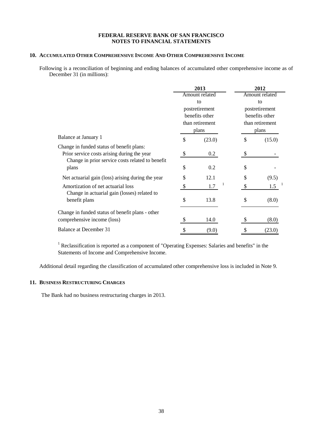# **10. ACCUMULATED OTHER COMPREHENSIVE INCOME AND OTHER COMPREHENSIVE INCOME**

Following is a reconciliation of beginning and ending balances of accumulated other comprehensive income as of December 31 (in millions):

|                                                   | 2013                 |                 | 2012           |                 |
|---------------------------------------------------|----------------------|-----------------|----------------|-----------------|
|                                                   | Amount related<br>to |                 | Amount related |                 |
|                                                   |                      |                 |                | to              |
|                                                   |                      | postretirement  |                | postretirement  |
|                                                   |                      | benefits other  |                | benefits other  |
|                                                   |                      | than retirement |                | than retirement |
|                                                   | plans                |                 | plans          |                 |
| Balance at January 1                              | \$                   | (23.0)          | \$             | (15.0)          |
| Change in funded status of benefit plans:         |                      |                 |                |                 |
| Prior service costs arising during the year       | \$                   | $0.2\,$         | \$             |                 |
| Change in prior service costs related to benefit  |                      |                 |                |                 |
| plans                                             | \$                   | 0.2             | \$             |                 |
| Net actuarial gain (loss) arising during the year | \$                   | 12.1            | \$             | (9.5)           |
| Amortization of net actuarial loss                |                      | 1.7             |                | 1.5             |
| Change in actuarial gain (losses) related to      |                      |                 |                |                 |
| benefit plans                                     | \$                   | 13.8            | \$             | (8.0)           |
| Change in funded status of benefit plans - other  |                      |                 |                |                 |
| comprehensive income (loss)                       |                      | 14.0            |                | (8.0)           |
| Balance at December 31                            |                      | (9.0)           |                | (23.0)          |

<sup>1</sup> Reclassification is reported as a component of "Operating Expenses: Salaries and benefits" in the Statements of Income and Comprehensive Income.

Additional detail regarding the classification of accumulated other comprehensive loss is included in Note 9.

## **11. BUSINESS RESTRUCTURING CHARGES**

The Bank had no business restructuring charges in 2013.